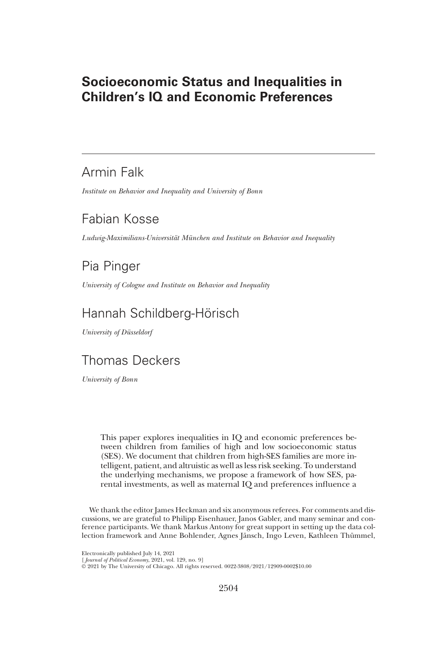# Socioeconomic Status and Inequalities in Children's IQ and Economic Preferences

# Armin Falk

*Institute on Behavior and Inequality and University of Bonn*

# Fabian Kosse

*Ludwig-Maximilians-Universit*ä*t M*ü*nchen and Institute on Behavior and Inequality*

# Pia Pinger

*University of Cologne and Institute on Behavior and Inequality*

# Hannah Schildberg-Hörisch

*University of D*ü*sseldorf*

# Thomas Deckers

*University of Bonn*

This paper explores inequalities in IQ and economic preferences between children from families of high and low socioeconomic status (SES). We document that children from high-SES families are more intelligent, patient, and altruistic as well as less risk seeking. To understand the underlying mechanisms, we propose a framework of how SES, parental investments, as well as maternal IQ and preferences influence a

We thank the editor James Heckman and six anonymous referees. For comments and discussions, we are grateful to Philipp Eisenhauer, Janos Gabler, and many seminar and conference participants. We thank Markus Antony for great support in setting up the data collection framework and Anne Bohlender, Agnes Jänsch, Ingo Leven, Kathleen Thümmel,

Electronically published July 14, 2021

<sup>[</sup> *Journal of Political Economy*, 2021, vol. 129, no. 9] © 2021 by The University of Chicago. All rights reserved. 0022-3808/2021/12909-0002\$10.00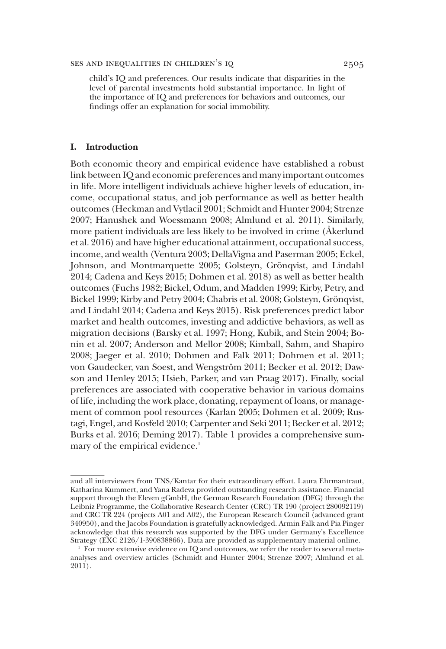child's IQ and preferences. Our results indicate that disparities in the level of parental investments hold substantial importance. In light of the importance of IQ and preferences for behaviors and outcomes, our findings offer an explanation for social immobility.

#### I. Introduction

Both economic theory and empirical evidence have established a robust link between IQ and economic preferences and many important outcomes in life. More intelligent individuals achieve higher levels of education, income, occupational status, and job performance as well as better health outcomes (Heckman and Vytlacil 2001; Schmidt and Hunter 2004; Strenze 2007; Hanushek and Woessmann 2008; Almlund et al. 2011). Similarly, more patient individuals are less likely to be involved in crime (Åkerlund et al. 2016) and have higher educational attainment, occupational success, income, and wealth (Ventura 2003; DellaVigna and Paserman 2005; Eckel, Johnson, and Montmarquette 2005; Golsteyn, Grönqvist, and Lindahl 2014; Cadena and Keys 2015; Dohmen et al. 2018) as well as better health outcomes (Fuchs 1982; Bickel, Odum, and Madden 1999; Kirby, Petry, and Bickel 1999; Kirby and Petry 2004; Chabris et al. 2008; Golsteyn, Grönqvist, and Lindahl 2014; Cadena and Keys 2015). Risk preferences predict labor market and health outcomes, investing and addictive behaviors, as well as migration decisions (Barsky et al. 1997; Hong, Kubik, and Stein 2004; Bonin et al. 2007; Anderson and Mellor 2008; Kimball, Sahm, and Shapiro 2008; Jaeger et al. 2010; Dohmen and Falk 2011; Dohmen et al. 2011; von Gaudecker, van Soest, and Wengström 2011; Becker et al. 2012; Dawson and Henley 2015; Hsieh, Parker, and van Praag 2017). Finally, social preferences are associated with cooperative behavior in various domains of life, including the work place, donating, repayment of loans, or management of common pool resources (Karlan 2005; Dohmen et al. 2009; Rustagi, Engel, and Kosfeld 2010; Carpenter and Seki 2011; Becker et al. 2012; Burks et al. 2016; Deming 2017). Table 1 provides a comprehensive summary of the empirical evidence.<sup>1</sup>

and all interviewers from TNS/Kantar for their extraordinary effort. Laura Ehrmantraut, Katharina Kummert, and Yana Radeva provided outstanding research assistance. Financial support through the Eleven gGmbH, the German Research Foundation (DFG) through the Leibniz Programme, the Collaborative Research Center (CRC) TR 190 (project 280092119) and CRC TR 224 (projects A01 and A02), the European Research Council (advanced grant 340950), and the Jacobs Foundation is gratefully acknowledged. Armin Falk and Pia Pinger acknowledge that this research was supported by the DFG under Germany's Excellence Strategy (EXC 2126/1-390838866). Data are provided as supplementary material online.

<sup>1</sup> For more extensive evidence on IQ and outcomes, we refer the reader to several metaanalyses and overview articles (Schmidt and Hunter 2004; Strenze 2007; Almlund et al. 2011).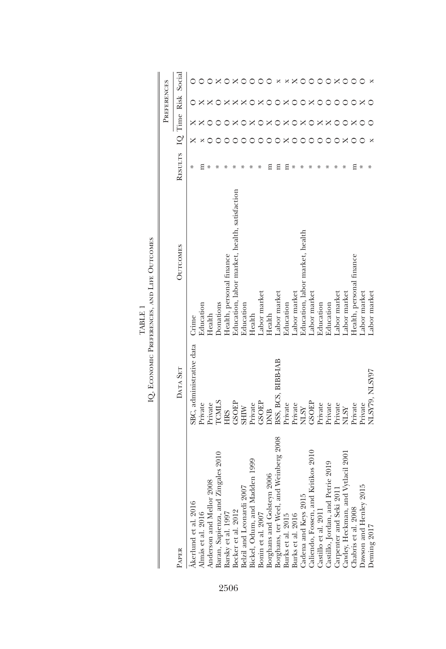|                                                                                                                |                          |                                               |         |         | PREFERENCES |        |
|----------------------------------------------------------------------------------------------------------------|--------------------------|-----------------------------------------------|---------|---------|-------------|--------|
| <b>PAPER</b>                                                                                                   | DATA SET                 | <b>OUTCOMES</b>                               | RESULTS | IQ Time | Risk        | Social |
| Åkerlund et al. 2016                                                                                           | SBC, administrative data | Crime                                         |         |         |             |        |
| Almås et al. 2016<br>Anderson and Mellor '                                                                     | Private                  | Education                                     |         |         |             |        |
| 2008                                                                                                           | Private                  | Health                                        |         |         |             |        |
| Baran, Sapienza, and Zingales 2010<br>Barsky et al. 1997<br>Becker et al. 2012                                 | <b>TCMLS</b>             | Donations                                     |         |         |             |        |
|                                                                                                                | <b>HRS</b>               | Health, personal finance                      |         |         |             |        |
|                                                                                                                | GSOEP                    | Education, labor market, health, satisfaction |         |         |             |        |
|                                                                                                                | <b>NIIHS</b>             | Education                                     |         |         |             |        |
|                                                                                                                | Private                  | Health                                        |         |         |             |        |
| Belzil and Leonardi 2007<br>Bickel, Odum, and Madden 1999<br>Bonin et al. 2007                                 | <b>GSOEP</b>             | Labor market                                  |         |         |             |        |
|                                                                                                                | <b>DNB</b>               | Health                                        |         |         |             |        |
| Borghans and Golsteyn 2006<br>Borghans, ter Weel, and Weinberg 2008<br>Burks et al. 2015<br>Burks et al. 2016  | BSS, BCS, BIBB-IAB       | Labor market                                  |         |         |             |        |
|                                                                                                                | Private                  | Education                                     |         |         |             |        |
|                                                                                                                | Private                  | Labor market                                  |         |         |             |        |
| Cadena and Keys 2015                                                                                           | <b>NLSY</b>              | Education, labor market, health               |         |         |             |        |
| Kritikos 2010<br>Caliendo, Fossen, and                                                                         | <b>GSOEP</b>             | Labor market                                  |         |         |             |        |
|                                                                                                                | Private                  | Education                                     |         |         |             |        |
| Castillo et al. 2011<br>Castillo, Jordan, and Petrie 2019                                                      | Private                  | Education                                     |         |         |             |        |
|                                                                                                                | Private                  | Labor market                                  |         |         |             |        |
|                                                                                                                | <b>NLSY</b>              | Labor market                                  |         |         |             |        |
| Carpenter and Seki 2011<br>Cawley, Heckman, and Vytlacil 2001<br>Chabris et al. 2008<br>Dawson and Henley 2015 | Private                  | Health, personal finance                      |         |         |             |        |
|                                                                                                                | Private                  | Labor market                                  |         |         |             |        |
| Deming 2017                                                                                                    | NLSY79, NLSY97           | Labor market                                  |         |         |             |        |

 $\begin{array}{ll} \text{TABLE 1} \\ \text{IQ, Econonic Prerepences, and Lire Ouroones} \end{array}$ IQ, Economic Preferences, and Life Outcomes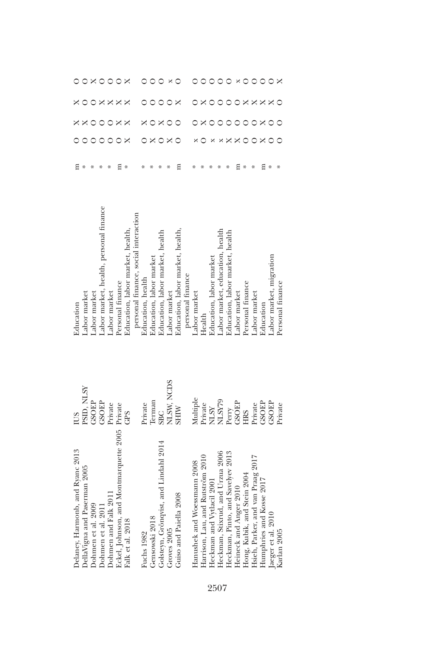| Delaney, Harmonb, and Ryanc 2013<br>DellaVigna and Paserman 2005 | PSID, NLSY<br>SUD | abor market<br>Education              |   |   |                 |         |               |
|------------------------------------------------------------------|-------------------|---------------------------------------|---|---|-----------------|---------|---------------|
| Dohmen et al. 2009                                               | <b>GROSC</b>      | abor market                           |   |   | $\circ$         |         | $0 \times 00$ |
| Dohmen et al. 2011                                               | GSOEP             | abor market, health, personal finance |   |   | $\circ$         |         |               |
| Dohmen and Falk 2011                                             | Private           | abor market                           |   |   | $\circ$         | OXXXX   |               |
| Eckel, Johnson, and Montmarquette 2005                           | Private           | Personal finance                      |   |   | $\times \times$ |         | $\circ$       |
| Falk et al. 2018                                                 | GPS               | Education, labor market, health,      |   |   |                 |         | $\times$      |
|                                                                  |                   | personal finance, social interaction  |   |   |                 |         |               |
| Fuchs 1982                                                       | Private           | Education, health                     |   |   |                 |         |               |
| Gensowski 2018                                                   | <b>Cerman</b>     | Education, labor market               |   |   |                 |         | $\circ$       |
| Golsteyn, Grönqvist, and Lindahl 2014                            | <b>SBC</b>        | Education, labor market, health       |   |   | ×               | $\circ$ | $\circ$       |
| Groves 2005                                                      | NLSW, NCDS        | Labor market                          |   |   | $\circ$         | $\circ$ |               |
| Guiso and Paiella 2008                                           | <b>NIHIS</b>      | Education, labor market, health       | Ξ |   | 0               | ×       | ×О            |
|                                                                  |                   | personal finance                      |   |   |                 |         |               |
| Hanushek and Woessmann 2008                                      | Multiple          | abor market                           |   |   |                 |         |               |
| Harrison, Lau, and Rutström 2010                                 | Private           | Health                                |   |   |                 |         |               |
| Heckman and Vydacil 2001                                         | <b>NLSY</b>       | Education, labor market               |   |   |                 |         | $\circ$       |
| Heckman, Stixrud, and Urzua 2006                                 | NLSY79            | abor market, education, health        |   |   | $\circ$         |         | $\circ$       |
| Heckman, Pinto, and Savelyev 2013                                |                   | Education, labor market, health       |   |   | $\circ$         |         | $\circ$       |
| Heineck and Anger 2010                                           | Perry<br>GSOEP    | abor market                           |   | × | $\circ$         |         |               |
|                                                                  | <b>HRS</b>        | Personal finance                      |   |   |                 | ×       | $\times$ O    |
| Hong, Kubik, and Stein 2004<br>Hsieh, Parker, and van Praag 2017 | Private           | abor market                           |   |   |                 | ×       | $\circ$       |
| Humphries and Kosse 2017<br>Jaeger et al. 2010<br>Karlan 2005    | <b>GROSC</b>      | Education                             | Ξ |   |                 | ×       | $\circ$       |
|                                                                  | GSOEP             | Labor market, migration               | ⋇ |   |                 | ×       |               |
|                                                                  | Private           | Personal finance                      |   |   |                 |         | $\times$      |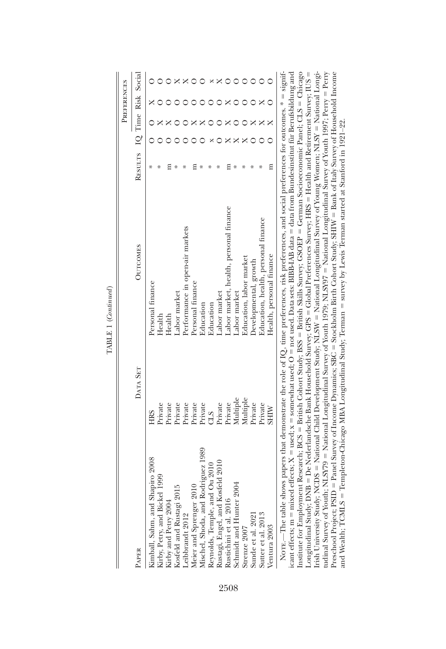|                                                       |                     |                                                                                                                                                                                                                                                                                                              |                             |  | PREFERENCES |  |
|-------------------------------------------------------|---------------------|--------------------------------------------------------------------------------------------------------------------------------------------------------------------------------------------------------------------------------------------------------------------------------------------------------------|-----------------------------|--|-------------|--|
| <b>PAPER</b>                                          | DATA SET            | <b>OUTCOMES</b>                                                                                                                                                                                                                                                                                              | RESULTS IQ Time Risk Social |  |             |  |
| Kimball, Sahm, and Shapiro 2008                       | HRS                 | Personal finance                                                                                                                                                                                                                                                                                             |                             |  |             |  |
|                                                       | <sup>p</sup> rivate | Health                                                                                                                                                                                                                                                                                                       |                             |  |             |  |
| Kirby, Petry, and Bickel 1999<br>Kirby and Petry 2004 | Private             | Health                                                                                                                                                                                                                                                                                                       |                             |  |             |  |
| Kosfeld and Rustagi 201                               | Private             | abor market                                                                                                                                                                                                                                                                                                  |                             |  |             |  |
| Leibbrandt 2012                                       | Private             | Performance in open-air markets                                                                                                                                                                                                                                                                              |                             |  |             |  |
| Meier and Sprenger 2010                               | Private             | Personal finance                                                                                                                                                                                                                                                                                             |                             |  |             |  |
| Iischel, Shoda, and Rodriguez 1989                    | Private             | Education                                                                                                                                                                                                                                                                                                    |                             |  |             |  |
| Reynolds, Temple, and Ou 2010                         | STC                 | Education                                                                                                                                                                                                                                                                                                    |                             |  |             |  |
| Rustagi, Engel, and Kosfeld 2010                      | Private             | abor market                                                                                                                                                                                                                                                                                                  |                             |  |             |  |
| Rustichini et al. 2016                                | Private             | abor market, health, personal finance                                                                                                                                                                                                                                                                        |                             |  |             |  |
| Schmidt and Hunter 2004                               | Multiple            | Labor market                                                                                                                                                                                                                                                                                                 |                             |  |             |  |
| Strenze 2007                                          | Multiple            | Education, labor market                                                                                                                                                                                                                                                                                      |                             |  |             |  |
| Sunde et al. 2021                                     | Private             | Developmental, growth                                                                                                                                                                                                                                                                                        |                             |  |             |  |
| Sutter et al. 2013                                    | Private             | Education, health, personal finance                                                                                                                                                                                                                                                                          |                             |  |             |  |
| Ventura 2003                                          | <b>MIHIS</b>        | Health, personal finance                                                                                                                                                                                                                                                                                     | Ξ                           |  |             |  |
|                                                       |                     | NOTE.—The table shows papers that demonstrate the role of IQ, time preferences, risk preferences, and social preferences for outcomes. * = signif-<br>icant effects; m = mixed effects; X = used; x = somewhat used; O = not used. Data sets: BIBB-IAB data = data from Bundesinstitut für Berufsbildung and |                             |  |             |  |

TABLE 1 (Continued) TABLE 1 (*Continued*)

Irish University Study; NCDS = National Child Development Study; NLSW = National Longitudinal Survey of Young Women; NLSY = National Longitudinal Survey of Youth; NLSY79 = National Longitudinal Survey of Youth 1979; NLSY97 = National Longitudinal Survey of Youth 1997; Perry = Perry Preschool Project; PSID = Panel Survey of Income Dynamics; SBC = Stockholm Birth Cohort Study; SHIW = Bank of Italy Survey of Household Income icant effects; m = mixed effects; X = used; x = somewhat used; O = not used. Data sets: BIBB-IAB data = data from Bundesinstitut für Berufsbildung and<br>Lectiute for Frandommort Decoundu RCC = Betich Cohour Sunder RSC = Bet institute for Employment Research;  $BCS = British Cohort Study$ ;  $BSS = British Stils$  Slins Survey;  $GSOEP = German Socieconomic Panel$ ;  $CLS = Chicago$ Institute for Employment Research; BCS 5 British Cohort Study; BSS 5 British Skills Survey; GSOEP 5 German Socioeconomic Panel; CLS 5 Chicago Irish University Study; NCDS 5 National Child Development Study; NLSW 5 National Longitudinal Survey of Young Women; NLSY 5 National Longitudinal Survey of Youth; NLSY79 5 National Longitudinal Survey of Youth 1979; NLSY97 5 National Longitudinal Survey of Youth 1997; Perry 5 Perry Preschool Project; PSID = Panel Survey of Income Dynamics; SBC = Stockholm Birth Cohort Study; SHIW = Bank of Italy Survey of Household Income<br>and Wealth: TCMI 8 = Thanalaton Chicago MBA I continuition! Studius Tommon = nu Longitudinal Study; DNB = De Nederlandsche Bank Household Survey; GPS = Global Preferences Survey; HRS = Health and Retirement Survey; IUS =<br>Frieh Heimmitte Studius KODS = Nederlandsche Bank Household Survey; GPS = Nederla and Wealth; TCMLS = Templeton-Chicago MBA Longitudinal Study; Terman = survey by Lewis Terman started at Stanford in 1921-22. and Wealth; TCMLS 5 Templeton-Chicago MBA Longitudinal Study; Terman 5 survey by Lewis Terman started at Stanford in 1921–22.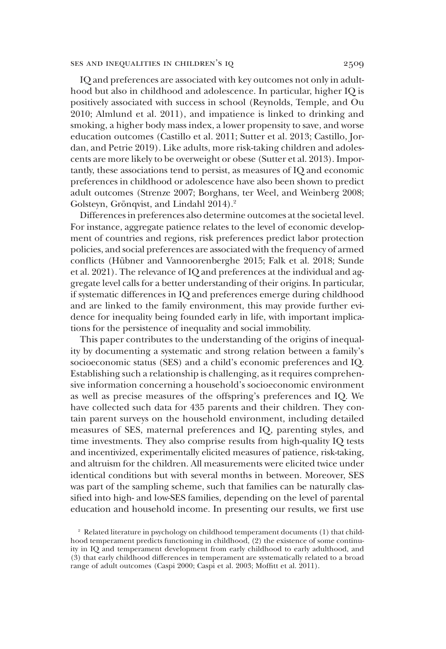IQ and preferences are associated with key outcomes not only in adulthood but also in childhood and adolescence. In particular, higher IQ is positively associated with success in school (Reynolds, Temple, and Ou 2010; Almlund et al. 2011), and impatience is linked to drinking and smoking, a higher body mass index, a lower propensity to save, and worse education outcomes (Castillo et al. 2011; Sutter et al. 2013; Castillo, Jordan, and Petrie 2019). Like adults, more risk-taking children and adolescents are more likely to be overweight or obese (Sutter et al. 2013). Importantly, these associations tend to persist, as measures of IQ and economic preferences in childhood or adolescence have also been shown to predict adult outcomes (Strenze 2007; Borghans, ter Weel, and Weinberg 2008; Golsteyn, Grönqvist, and Lindahl 2014).<sup>2</sup>

Differences in preferences also determine outcomes at the societal level. For instance, aggregate patience relates to the level of economic development of countries and regions, risk preferences predict labor protection policies, and social preferences are associated with the frequency of armed conflicts (Hübner and Vannoorenberghe 2015; Falk et al. 2018; Sunde et al. 2021). The relevance of IQ and preferences at the individual and aggregate level calls for a better understanding of their origins. In particular, if systematic differences in IQ and preferences emerge during childhood and are linked to the family environment, this may provide further evidence for inequality being founded early in life, with important implications for the persistence of inequality and social immobility.

This paper contributes to the understanding of the origins of inequality by documenting a systematic and strong relation between a family's socioeconomic status (SES) and a child's economic preferences and IQ. Establishing such a relationship is challenging, as it requires comprehensive information concerning a household's socioeconomic environment as well as precise measures of the offspring's preferences and IQ. We have collected such data for 435 parents and their children. They contain parent surveys on the household environment, including detailed measures of SES, maternal preferences and IQ, parenting styles, and time investments. They also comprise results from high-quality IQ tests and incentivized, experimentally elicited measures of patience, risk-taking, and altruism for the children. All measurements were elicited twice under identical conditions but with several months in between. Moreover, SES was part of the sampling scheme, such that families can be naturally classified into high- and low-SES families, depending on the level of parental education and household income. In presenting our results, we first use

<sup>&</sup>lt;sup>2</sup> Related literature in psychology on childhood temperament documents (1) that childhood temperament predicts functioning in childhood, (2) the existence of some continuity in IQ and temperament development from early childhood to early adulthood, and (3) that early childhood differences in temperament are systematically related to a broad range of adult outcomes (Caspi 2000; Caspi et al. 2003; Moffitt et al. 2011).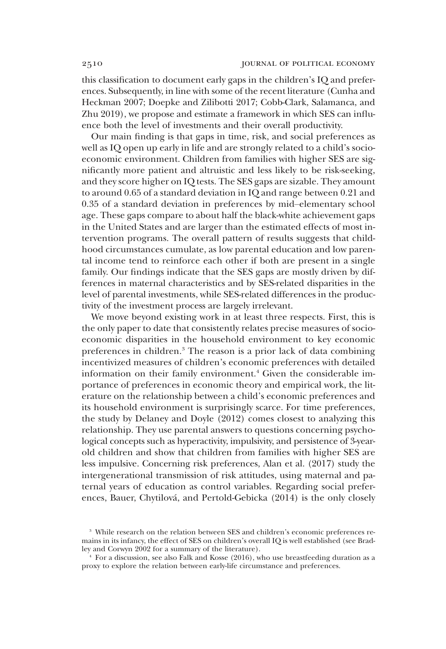this classification to document early gaps in the children's IQ and preferences. Subsequently, in line with some of the recent literature (Cunha and Heckman 2007; Doepke and Zilibotti 2017; Cobb-Clark, Salamanca, and Zhu 2019), we propose and estimate a framework in which SES can influence both the level of investments and their overall productivity.

Our main finding is that gaps in time, risk, and social preferences as well as IQ open up early in life and are strongly related to a child's socioeconomic environment. Children from families with higher SES are significantly more patient and altruistic and less likely to be risk-seeking, and they score higher on IQ tests. The SES gaps are sizable. They amount to around 0.65 of a standard deviation in IQ and range between 0.21 and 0.35 of a standard deviation in preferences by mid–elementary school age. These gaps compare to about half the black-white achievement gaps in the United States and are larger than the estimated effects of most intervention programs. The overall pattern of results suggests that childhood circumstances cumulate, as low parental education and low parental income tend to reinforce each other if both are present in a single family. Our findings indicate that the SES gaps are mostly driven by differences in maternal characteristics and by SES-related disparities in the level of parental investments, while SES-related differences in the productivity of the investment process are largely irrelevant.

We move beyond existing work in at least three respects. First, this is the only paper to date that consistently relates precise measures of socioeconomic disparities in the household environment to key economic preferences in children.<sup>3</sup> The reason is a prior lack of data combining incentivized measures of children's economic preferences with detailed information on their family environment.<sup>4</sup> Given the considerable importance of preferences in economic theory and empirical work, the literature on the relationship between a child's economic preferences and its household environment is surprisingly scarce. For time preferences, the study by Delaney and Doyle (2012) comes closest to analyzing this relationship. They use parental answers to questions concerning psychological concepts such as hyperactivity, impulsivity, and persistence of 3-yearold children and show that children from families with higher SES are less impulsive. Concerning risk preferences, Alan et al. (2017) study the intergenerational transmission of risk attitudes, using maternal and paternal years of education as control variables. Regarding social preferences, Bauer, Chytilová, and Pertold-Gebicka (2014) is the only closely

<sup>&</sup>lt;sup>3</sup> While research on the relation between SES and children's economic preferences remains in its infancy, the effect of SES on children's overall IQ is well established (see Bradley and Corwyn 2002 for a summary of the literature).

 $4$  For a discussion, see also Falk and Kosse (2016), who use breastfeeding duration as a proxy to explore the relation between early-life circumstance and preferences.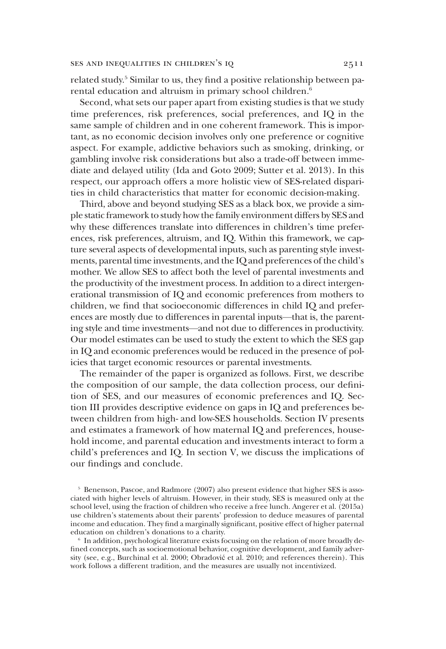related study.<sup>5</sup> Similar to us, they find a positive relationship between parental education and altruism in primary school children.<sup>6</sup>

Second, what sets our paper apart from existing studies is that we study time preferences, risk preferences, social preferences, and IQ in the same sample of children and in one coherent framework. This is important, as no economic decision involves only one preference or cognitive aspect. For example, addictive behaviors such as smoking, drinking, or gambling involve risk considerations but also a trade-off between immediate and delayed utility (Ida and Goto 2009; Sutter et al. 2013). In this respect, our approach offers a more holistic view of SES-related disparities in child characteristics that matter for economic decision-making.

Third, above and beyond studying SES as a black box, we provide a simple static framework to study how the family environment differs by SES and why these differences translate into differences in children's time preferences, risk preferences, altruism, and IQ. Within this framework, we capture several aspects of developmental inputs, such as parenting style investments, parental time investments, and the IQ and preferences of the child's mother. We allow SES to affect both the level of parental investments and the productivity of the investment process. In addition to a direct intergenerational transmission of IQ and economic preferences from mothers to children, we find that socioeconomic differences in child IQ and preferences are mostly due to differences in parental inputs—that is, the parenting style and time investments—and not due to differences in productivity. Our model estimates can be used to study the extent to which the SES gap in IQ and economic preferences would be reduced in the presence of policies that target economic resources or parental investments.

The remainder of the paper is organized as follows. First, we describe the composition of our sample, the data collection process, our definition of SES, and our measures of economic preferences and IQ. Section III provides descriptive evidence on gaps in IQ and preferences between children from high- and low-SES households. Section IV presents and estimates a framework of how maternal IQ and preferences, household income, and parental education and investments interact to form a child's preferences and IQ. In section V, we discuss the implications of our findings and conclude.

<sup>5</sup> Benenson, Pascoe, and Radmore (2007) also present evidence that higher SES is associated with higher levels of altruism. However, in their study, SES is measured only at the school level, using the fraction of children who receive a free lunch. Angerer et al. (2015a) use children's statements about their parents' profession to deduce measures of parental income and education. They find a marginally significant, positive effect of higher paternal education on children's donations to a charity.

6 In addition, psychological literature exists focusing on the relation of more broadly defined concepts, such as socioemotional behavior, cognitive development, and family adversity (see, e.g., Burchinal et al. 2000; Obradović et al. 2010; and references therein). This work follows a different tradition, and the measures are usually not incentivized.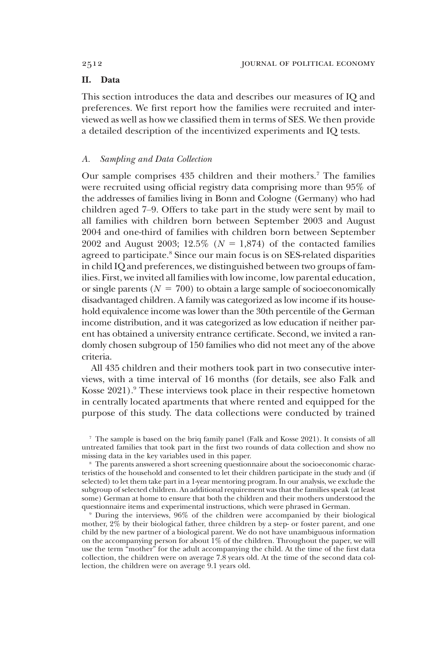# II. Data

This section introduces the data and describes our measures of IQ and preferences. We first report how the families were recruited and interviewed as well as how we classified them in terms of SES. We then provide a detailed description of the incentivized experiments and IQ tests.

## *A. Sampling and Data Collection*

Our sample comprises 435 children and their mothers.<sup>7</sup> The families were recruited using official registry data comprising more than 95% of the addresses of families living in Bonn and Cologne (Germany) who had children aged 7–9. Offers to take part in the study were sent by mail to all families with children born between September 2003 and August 2004 and one-third of families with children born between September 2002 and August 2003; 12.5% ( $N = 1,874$ ) of the contacted families agreed to participate.<sup>8</sup> Since our main focus is on SES-related disparities in child IQ and preferences, we distinguished between two groups of families. First, we invited all families with low income, low parental education, or single parents  $(N = 700)$  to obtain a large sample of socioeconomically disadvantaged children. A family was categorized as low income if its household equivalence income was lower than the 30th percentile of the German income distribution, and it was categorized as low education if neither parent has obtained a university entrance certificate. Second, we invited a randomly chosen subgroup of 150 families who did not meet any of the above criteria.

All 435 children and their mothers took part in two consecutive interviews, with a time interval of 16 months (for details, see also Falk and Kosse 2021).<sup>9</sup> These interviews took place in their respective hometown in centrally located apartments that where rented and equipped for the purpose of this study. The data collections were conducted by trained

<sup>9</sup> During the interviews, 96% of the children were accompanied by their biological mother, 2% by their biological father, three children by a step- or foster parent, and one child by the new partner of a biological parent. We do not have unambiguous information on the accompanying person for about 1% of the children. Throughout the paper, we will use the term "mother" for the adult accompanying the child. At the time of the first data collection, the children were on average 7.8 years old. At the time of the second data collection, the children were on average 9.1 years old.

<sup>7</sup> The sample is based on the briq family panel (Falk and Kosse 2021). It consists of all untreated families that took part in the first two rounds of data collection and show no missing data in the key variables used in this paper.

<sup>&</sup>lt;sup>8</sup> The parents answered a short screening questionnaire about the socioeconomic characteristics of the household and consented to let their children participate in the study and (if selected) to let them take part in a 1-year mentoring program. In our analysis, we exclude the subgroup of selected children. An additional requirement was that the families speak (at least some) German at home to ensure that both the children and their mothers understood the questionnaire items and experimental instructions, which were phrased in German.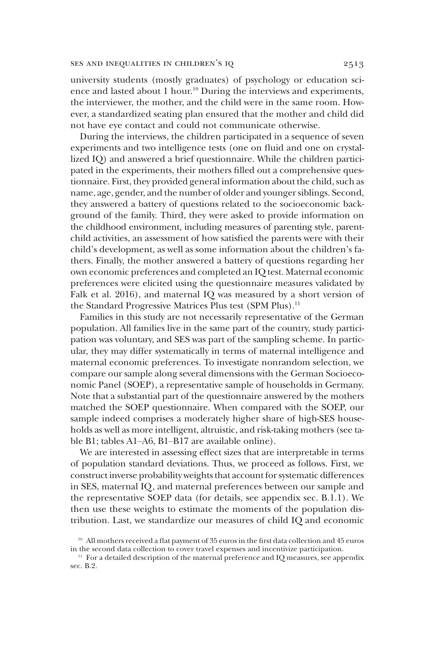university students (mostly graduates) of psychology or education science and lasted about 1 hour.<sup>10</sup> During the interviews and experiments, the interviewer, the mother, and the child were in the same room. However, a standardized seating plan ensured that the mother and child did not have eye contact and could not communicate otherwise.

During the interviews, the children participated in a sequence of seven experiments and two intelligence tests (one on fluid and one on crystallized IQ) and answered a brief questionnaire. While the children participated in the experiments, their mothers filled out a comprehensive questionnaire. First, they provided general information about the child, such as name, age, gender, and the number of older and younger siblings. Second, they answered a battery of questions related to the socioeconomic background of the family. Third, they were asked to provide information on the childhood environment, including measures of parenting style, parentchild activities, an assessment of how satisfied the parents were with their child's development, as well as some information about the children's fathers. Finally, the mother answered a battery of questions regarding her own economic preferences and completed an IQ test. Maternal economic preferences were elicited using the questionnaire measures validated by Falk et al. 2016), and maternal IQ was measured by a short version of the Standard Progressive Matrices Plus test (SPM Plus).<sup>11</sup>

Families in this study are not necessarily representative of the German population. All families live in the same part of the country, study participation was voluntary, and SES was part of the sampling scheme. In particular, they may differ systematically in terms of maternal intelligence and maternal economic preferences. To investigate nonrandom selection, we compare our sample along several dimensions with the German Socioeconomic Panel (SOEP), a representative sample of households in Germany. Note that a substantial part of the questionnaire answered by the mothers matched the SOEP questionnaire. When compared with the SOEP, our sample indeed comprises a moderately higher share of high-SES households as well as more intelligent, altruistic, and risk-taking mothers (see table B1; tables A1–A6, B1–B17 are available online).

We are interested in assessing effect sizes that are interpretable in terms of population standard deviations. Thus, we proceed as follows. First, we construct inverse probability weights that account for systematic differences in SES, maternal IQ, and maternal preferences between our sample and the representative SOEP data (for details, see appendix sec. B.1.1). We then use these weights to estimate the moments of the population distribution. Last, we standardize our measures of child IQ and economic

<sup>&</sup>lt;sup>10</sup> All mothers received a flat payment of 35 euros in the first data collection and 45 euros in the second data collection to cover travel expenses and incentivize participation.

 $11$  For a detailed description of the maternal preference and IQ measures, see appendix sec. B.2.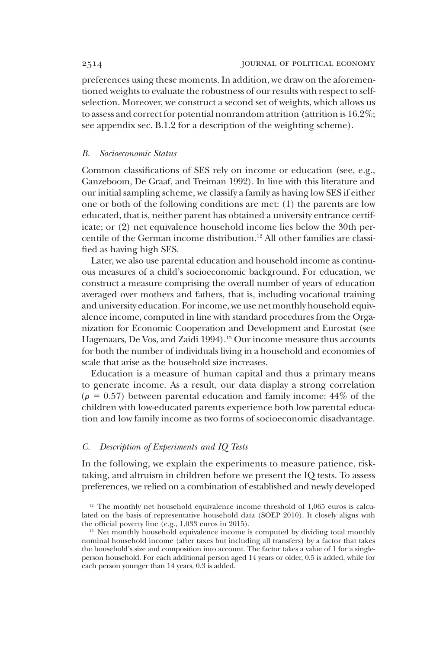preferences using these moments. In addition, we draw on the aforementioned weights to evaluate the robustness of our results with respect to selfselection. Moreover, we construct a second set of weights, which allows us to assess and correct for potential nonrandom attrition (attrition is 16.2%; see appendix sec. B.1.2 for a description of the weighting scheme).

#### *B. Socioeconomic Status*

Common classifications of SES rely on income or education (see, e.g., Ganzeboom, De Graaf, and Treiman 1992). In line with this literature and our initial sampling scheme, we classify a family as having low SES if either one or both of the following conditions are met: (1) the parents are low educated, that is, neither parent has obtained a university entrance certificate; or (2) net equivalence household income lies below the 30th percentile of the German income distribution.<sup>12</sup> All other families are classified as having high SES.

Later, we also use parental education and household income as continuous measures of a child's socioeconomic background. For education, we construct a measure comprising the overall number of years of education averaged over mothers and fathers, that is, including vocational training and university education. For income, we use net monthly household equivalence income, computed in line with standard procedures from the Organization for Economic Cooperation and Development and Eurostat (see Hagenaars, De Vos, and Zaidi 1994).<sup>13</sup> Our income measure thus accounts for both the number of individuals living in a household and economies of scale that arise as the household size increases.

Education is a measure of human capital and thus a primary means to generate income. As a result, our data display a strong correlation  $(\rho = 0.57)$  between parental education and family income: 44\% of the children with low-educated parents experience both low parental education and low family income as two forms of socioeconomic disadvantage.

# *C. Description of Experiments and IQ Tests*

In the following, we explain the experiments to measure patience, risktaking, and altruism in children before we present the IQ tests. To assess preferences, we relied on a combination of established and newly developed

 $12$  The monthly net household equivalence income threshold of 1,065 euros is calculated on the basis of representative household data (SOEP 2010). It closely aligns with the official poverty line (e.g., 1,033 euros in 2015).

 $13$  Net monthly household equivalence income is computed by dividing total monthly nominal household income (after taxes but including all transfers) by a factor that takes the household's size and composition into account. The factor takes a value of 1 for a singleperson household. For each additional person aged 14 years or older, 0.5 is added, while for each person younger than 14 years, 0.3 is added.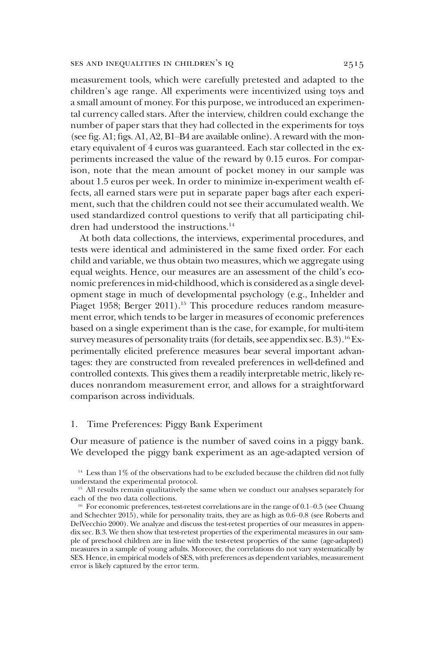measurement tools, which were carefully pretested and adapted to the children's age range. All experiments were incentivized using toys and a small amount of money. For this purpose, we introduced an experimental currency called stars. After the interview, children could exchange the number of paper stars that they had collected in the experiments for toys (see fig. A1; figs. A1, A2, B1–B4 are available online). A reward with the monetary equivalent of 4 euros was guaranteed. Each star collected in the experiments increased the value of the reward by 0.15 euros. For comparison, note that the mean amount of pocket money in our sample was about 1.5 euros per week. In order to minimize in-experiment wealth effects, all earned stars were put in separate paper bags after each experiment, such that the children could not see their accumulated wealth. We used standardized control questions to verify that all participating children had understood the instructions.<sup>14</sup>

At both data collections, the interviews, experimental procedures, and tests were identical and administered in the same fixed order. For each child and variable, we thus obtain two measures, which we aggregate using equal weights. Hence, our measures are an assessment of the child's economic preferences in mid-childhood, which is considered as a single development stage in much of developmental psychology (e.g., Inhelder and Piaget 1958; Berger 2011).<sup>15</sup> This procedure reduces random measurement error, which tends to be larger in measures of economic preferences based on a single experiment than is the case, for example, for multi-item survey measures of personality traits (for details, see appendix sec. B.3).<sup>16</sup> Experimentally elicited preference measures bear several important advantages: they are constructed from revealed preferences in well-defined and controlled contexts. This gives them a readily interpretable metric, likely reduces nonrandom measurement error, and allows for a straightforward comparison across individuals.

# 1. Time Preferences: Piggy Bank Experiment

Our measure of patience is the number of saved coins in a piggy bank. We developed the piggy bank experiment as an age-adapted version of

 $14$  Less than  $1\%$  of the observations had to be excluded because the children did not fully understand the experimental protocol.

<sup>&</sup>lt;sup>15</sup> All results remain qualitatively the same when we conduct our analyses separately for each of the two data collections.

<sup>&</sup>lt;sup>16</sup> For economic preferences, test-retest correlations are in the range of 0.1–0.5 (see Chuang and Schechter 2015), while for personality traits, they are as high as 0.6–0.8 (see Roberts and DelVecchio 2000). We analyze and discuss the test-retest properties of our measures in appendix sec. B.3. We then show that test-retest properties of the experimental measures in our sample of preschool children are in line with the test-retest properties of the same (age-adapted) measures in a sample of young adults. Moreover, the correlations do not vary systematically by SES. Hence, in empirical models of SES, with preferences as dependent variables, measurement error is likely captured by the error term.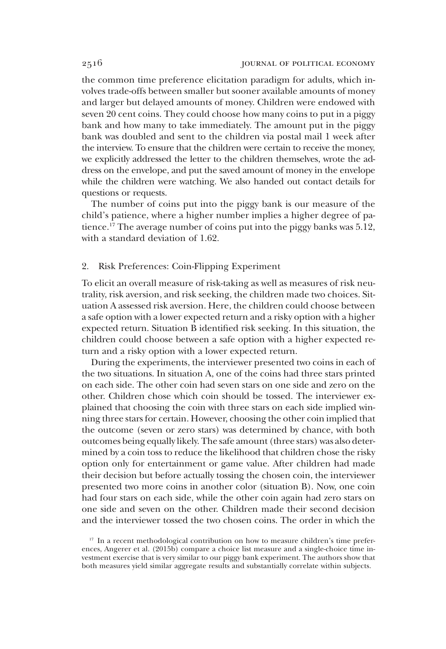the common time preference elicitation paradigm for adults, which involves trade-offs between smaller but sooner available amounts of money and larger but delayed amounts of money. Children were endowed with seven 20 cent coins. They could choose how many coins to put in a piggy bank and how many to take immediately. The amount put in the piggy bank was doubled and sent to the children via postal mail 1 week after the interview. To ensure that the children were certain to receive the money, we explicitly addressed the letter to the children themselves, wrote the address on the envelope, and put the saved amount of money in the envelope while the children were watching. We also handed out contact details for questions or requests.

The number of coins put into the piggy bank is our measure of the child's patience, where a higher number implies a higher degree of patience.<sup>17</sup> The average number of coins put into the piggy banks was 5.12, with a standard deviation of 1.62.

# 2. Risk Preferences: Coin-Flipping Experiment

To elicit an overall measure of risk-taking as well as measures of risk neutrality, risk aversion, and risk seeking, the children made two choices. Situation A assessed risk aversion. Here, the children could choose between a safe option with a lower expected return and a risky option with a higher expected return. Situation B identified risk seeking. In this situation, the children could choose between a safe option with a higher expected return and a risky option with a lower expected return.

During the experiments, the interviewer presented two coins in each of the two situations. In situation A, one of the coins had three stars printed on each side. The other coin had seven stars on one side and zero on the other. Children chose which coin should be tossed. The interviewer explained that choosing the coin with three stars on each side implied winning three stars for certain. However, choosing the other coin implied that the outcome (seven or zero stars) was determined by chance, with both outcomes being equally likely. The safe amount (three stars) was also determined by a coin toss to reduce the likelihood that children chose the risky option only for entertainment or game value. After children had made their decision but before actually tossing the chosen coin, the interviewer presented two more coins in another color (situation B). Now, one coin had four stars on each side, while the other coin again had zero stars on one side and seven on the other. Children made their second decision and the interviewer tossed the two chosen coins. The order in which the

<sup>&</sup>lt;sup>17</sup> In a recent methodological contribution on how to measure children's time preferences, Angerer et al. (2015b) compare a choice list measure and a single-choice time investment exercise that is very similar to our piggy bank experiment. The authors show that both measures yield similar aggregate results and substantially correlate within subjects.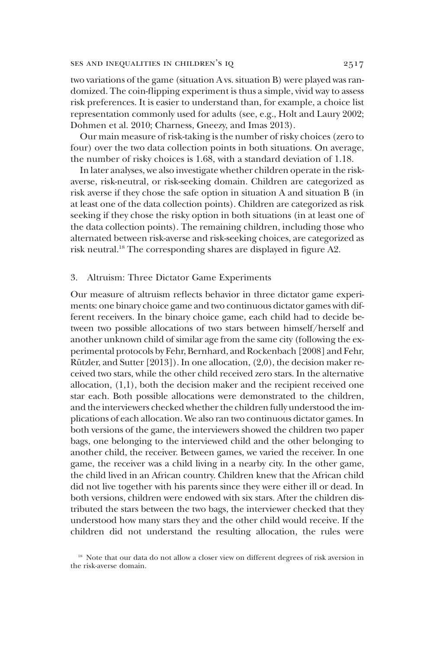two variations of the game (situation A vs. situation B) were played was randomized. The coin-flipping experiment is thus a simple, vivid way to assess risk preferences. It is easier to understand than, for example, a choice list representation commonly used for adults (see, e.g., Holt and Laury 2002; Dohmen et al. 2010; Charness, Gneezy, and Imas 2013).

Our main measure of risk-taking is the number of risky choices (zero to four) over the two data collection points in both situations. On average, the number of risky choices is 1.68, with a standard deviation of 1.18.

In later analyses, we also investigate whether children operate in the riskaverse, risk-neutral, or risk-seeking domain. Children are categorized as risk averse if they chose the safe option in situation A and situation B (in at least one of the data collection points). Children are categorized as risk seeking if they chose the risky option in both situations (in at least one of the data collection points). The remaining children, including those who alternated between risk-averse and risk-seeking choices, are categorized as risk neutral.<sup>18</sup> The corresponding shares are displayed in figure A2.

## 3. Altruism: Three Dictator Game Experiments

Our measure of altruism reflects behavior in three dictator game experiments: one binary choice game and two continuous dictator games with different receivers. In the binary choice game, each child had to decide between two possible allocations of two stars between himself/herself and another unknown child of similar age from the same city (following the experimental protocols by Fehr, Bernhard, and Rockenbach [2008] and Fehr, Rützler, and Sutter [2013]). In one allocation, (2,0), the decision maker received two stars, while the other child received zero stars. In the alternative allocation, (1,1), both the decision maker and the recipient received one star each. Both possible allocations were demonstrated to the children, and the interviewers checked whether the children fully understood the implications of each allocation. We also ran two continuous dictator games. In both versions of the game, the interviewers showed the children two paper bags, one belonging to the interviewed child and the other belonging to another child, the receiver. Between games, we varied the receiver. In one game, the receiver was a child living in a nearby city. In the other game, the child lived in an African country. Children knew that the African child did not live together with his parents since they were either ill or dead. In both versions, children were endowed with six stars. After the children distributed the stars between the two bags, the interviewer checked that they understood how many stars they and the other child would receive. If the children did not understand the resulting allocation, the rules were

<sup>&</sup>lt;sup>18</sup> Note that our data do not allow a closer view on different degrees of risk aversion in the risk-averse domain.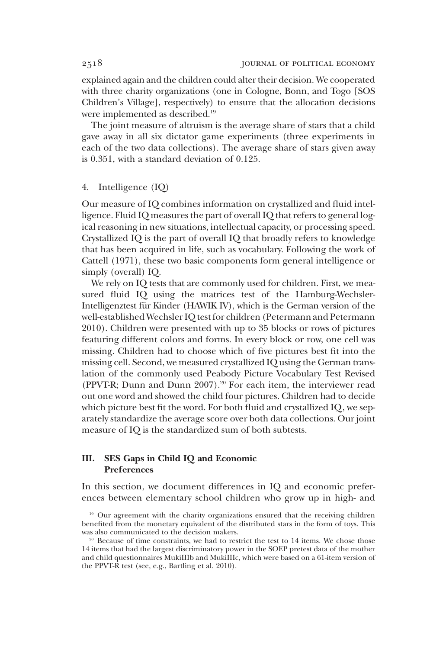explained again and the children could alter their decision. We cooperated with three charity organizations (one in Cologne, Bonn, and Togo [SOS Children's Village], respectively) to ensure that the allocation decisions were implemented as described.<sup>19</sup>

The joint measure of altruism is the average share of stars that a child gave away in all six dictator game experiments (three experiments in each of the two data collections). The average share of stars given away is 0.351, with a standard deviation of 0.125.

#### 4. Intelligence (IQ)

Our measure of IQ combines information on crystallized and fluid intelligence. Fluid IQ measures the part of overall IQ that refers to general logical reasoning in new situations, intellectual capacity, or processing speed. Crystallized IQ is the part of overall IQ that broadly refers to knowledge that has been acquired in life, such as vocabulary. Following the work of Cattell (1971), these two basic components form general intelligence or simply (overall) IQ.

We rely on IQ tests that are commonly used for children. First, we measured fluid IQ using the matrices test of the Hamburg-Wechsler-Intelligenztest für Kinder (HAWIK IV), which is the German version of the well-established Wechsler IQ test for children (Petermann and Petermann 2010). Children were presented with up to 35 blocks or rows of pictures featuring different colors and forms. In every block or row, one cell was missing. Children had to choose which of five pictures best fit into the missing cell. Second, we measured crystallized IQ using the German translation of the commonly used Peabody Picture Vocabulary Test Revised (PPVT-R; Dunn and Dunn 2007).<sup>20</sup> For each item, the interviewer read out one word and showed the child four pictures. Children had to decide which picture best fit the word. For both fluid and crystallized IQ, we separately standardize the average score over both data collections. Our joint measure of IQ is the standardized sum of both subtests.

# III. SES Gaps in Child IQ and Economic Preferences

In this section, we document differences in IQ and economic preferences between elementary school children who grow up in high- and

<sup>&</sup>lt;sup>19</sup> Our agreement with the charity organizations ensured that the receiving children benefited from the monetary equivalent of the distributed stars in the form of toys. This was also communicated to the decision makers.

 $20$  Because of time constraints, we had to restrict the test to 14 items. We chose those 14 items that had the largest discriminatory power in the SOEP pretest data of the mother and child questionnaires MukiIIIb and MukiIIIc, which were based on a 61-item version of the PPVT-R test (see, e.g., Bartling et al. 2010).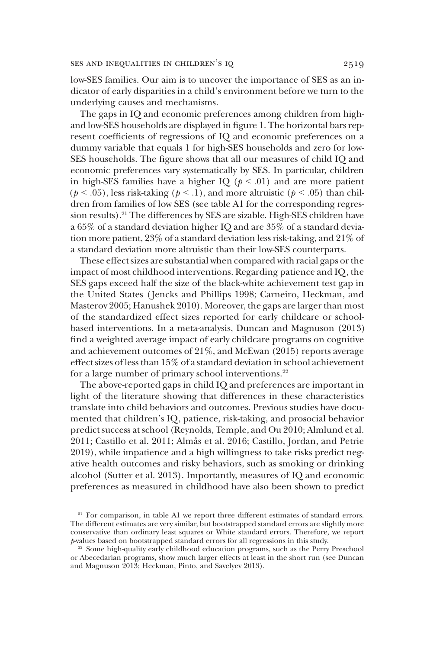low-SES families. Our aim is to uncover the importance of SES as an indicator of early disparities in a child's environment before we turn to the underlying causes and mechanisms.

The gaps in IQ and economic preferences among children from highand low-SES households are displayed in figure 1. The horizontal bars represent coefficients of regressions of IQ and economic preferences on a dummy variable that equals 1 for high-SES households and zero for low-SES households. The figure shows that all our measures of child IQ and economic preferences vary systematically by SES. In particular, children in high-SES families have a higher IQ ( $p < .01$ ) and are more patient ( $p < .05$ ), less risk-taking ( $p < .1$ ), and more altruistic ( $p < .05$ ) than children from families of low SES (see table A1 for the corresponding regression results).<sup>21</sup> The differences by SES are sizable. High-SES children have a 65% of a standard deviation higher IQ and are 35% of a standard deviation more patient, 23% of a standard deviation less risk-taking, and 21% of a standard deviation more altruistic than their low-SES counterparts.

These effect sizes are substantial when compared with racial gaps or the impact of most childhood interventions. Regarding patience and IQ, the SES gaps exceed half the size of the black-white achievement test gap in the United States ( Jencks and Phillips 1998; Carneiro, Heckman, and Masterov 2005; Hanushek 2010). Moreover, the gaps are larger than most of the standardized effect sizes reported for early childcare or schoolbased interventions. In a meta-analysis, Duncan and Magnuson (2013) find a weighted average impact of early childcare programs on cognitive and achievement outcomes of 21%, and McEwan (2015) reports average effect sizes of less than 15% of a standard deviation in school achievement for a large number of primary school interventions.<sup>22</sup>

The above-reported gaps in child IQ and preferences are important in light of the literature showing that differences in these characteristics translate into child behaviors and outcomes. Previous studies have documented that children's IQ, patience, risk-taking, and prosocial behavior predict success at school (Reynolds, Temple, and Ou 2010; Almlund et al. 2011; Castillo et al. 2011; Almås et al. 2016; Castillo, Jordan, and Petrie 2019), while impatience and a high willingness to take risks predict negative health outcomes and risky behaviors, such as smoking or drinking alcohol (Sutter et al. 2013). Importantly, measures of IQ and economic preferences as measured in childhood have also been shown to predict

<sup>&</sup>lt;sup>21</sup> For comparison, in table A1 we report three different estimates of standard errors. The different estimates are very similar, but bootstrapped standard errors are slightly more conservative than ordinary least squares or White standard errors. Therefore, we report *p*-values based on bootstrapped standard errors for all regressions in this study.

<sup>&</sup>lt;sup>22</sup> Some high-quality early childhood education programs, such as the Perry Preschool or Abecedarian programs, show much larger effects at least in the short run (see Duncan and Magnuson 2013; Heckman, Pinto, and Savelyev 2013).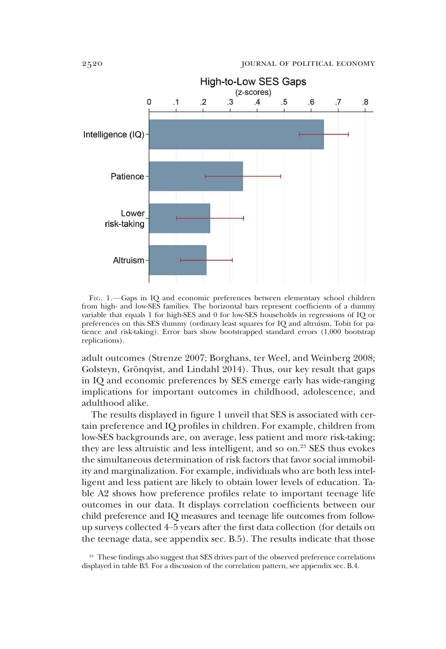

FIG. 1.—Gaps in IQ and economic preferences between elementary school children from high- and low-SES families. The horizontal bars represent coefficients of a dummy variable that equals 1 for high-SES and 0 for low-SES households in regressions of IQ or preferences on this SES dummy (ordinary least squares for IQ and altruism, Tobit for patience and risk-taking). Error bars show bootstrapped standard errors (1,000 bootstrap replications).

adult outcomes (Strenze 2007; Borghans, ter Weel, and Weinberg 2008; Golsteyn, Grönqvist, and Lindahl 2014). Thus, our key result that gaps in IQ and economic preferences by SES emerge early has wide-ranging implications for important outcomes in childhood, adolescence, and adulthood alike.

The results displayed in figure 1 unveil that SES is associated with certain preference and IQ profiles in children. For example, children from low-SES backgrounds are, on average, less patient and more risk-taking; they are less altruistic and less intelligent, and so on.<sup>23</sup> SES thus evokes the simultaneous determination of risk factors that favor social immobility and marginalization. For example, individuals who are both less intelligent and less patient are likely to obtain lower levels of education. Table A2 shows how preference profiles relate to important teenage life outcomes in our data. It displays correlation coefficients between our child preference and IQ measures and teenage life outcomes from followup surveys collected 4–5 years after the first data collection (for details on the teenage data, see appendix sec. B.5). The results indicate that those

<sup>&</sup>lt;sup>23</sup> These findings also suggest that SES drives part of the observed preference correlations displayed in table B3. For a discussion of the correlation pattern, see appendix sec. B.4.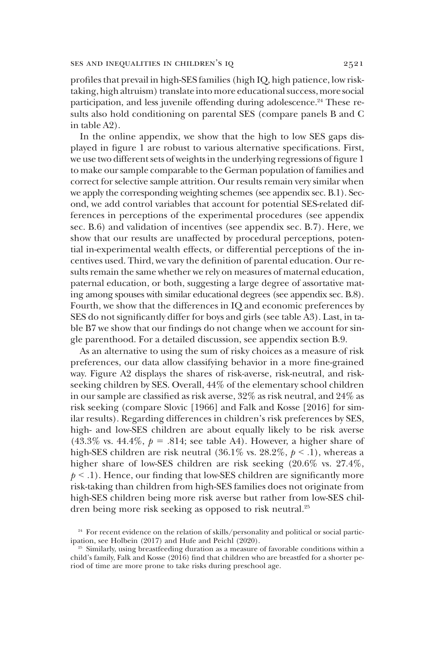profiles that prevail in high-SES families (high IQ, high patience, low risktaking, high altruism) translate into more educational success,more social participation, and less juvenile offending during adolescence.<sup>24</sup> These results also hold conditioning on parental SES (compare panels B and C in table A2).

In the online appendix, we show that the high to low SES gaps displayed in figure 1 are robust to various alternative specifications. First, we use two different sets of weights in the underlying regressions of figure 1 to make our sample comparable to the German population of families and correct for selective sample attrition. Our results remain very similar when we apply the corresponding weighting schemes (see appendix sec. B.1). Second, we add control variables that account for potential SES-related differences in perceptions of the experimental procedures (see appendix sec. B.6) and validation of incentives (see appendix sec. B.7). Here, we show that our results are unaffected by procedural perceptions, potential in-experimental wealth effects, or differential perceptions of the incentives used. Third, we vary the definition of parental education. Our results remain the same whether we rely on measures of maternal education, paternal education, or both, suggesting a large degree of assortative mating among spouses with similar educational degrees (see appendix sec. B.8). Fourth, we show that the differences in IQ and economic preferences by SES do not significantly differ for boys and girls (see table A3). Last, in table B7 we show that our findings do not change when we account for single parenthood. For a detailed discussion, see appendix section B.9.

As an alternative to using the sum of risky choices as a measure of risk preferences, our data allow classifying behavior in a more fine-grained way. Figure A2 displays the shares of risk-averse, risk-neutral, and riskseeking children by SES. Overall, 44% of the elementary school children in our sample are classified as risk averse, 32% as risk neutral, and 24% as risk seeking (compare Slovic [1966] and Falk and Kosse [2016] for similar results). Regarding differences in children's risk preferences by SES, high- and low-SES children are about equally likely to be risk averse (43.3% vs. 44.4%,  $p = .814$ ; see table A4). However, a higher share of high-SES children are risk neutral (36.1% vs. 28.2%,  $p < 0.1$ ), whereas a higher share of low-SES children are risk seeking  $(20.6\%$  vs.  $27.4\%$ ,  $p < 0.1$ . Hence, our finding that low-SES children are significantly more risk-taking than children from high-SES families does not originate from high-SES children being more risk averse but rather from low-SES children being more risk seeking as opposed to risk neutral.<sup>25</sup>

<sup>&</sup>lt;sup>24</sup> For recent evidence on the relation of skills/personality and political or social participation, see Holbein (2017) and Hufe and Peichl (2020).

<sup>&</sup>lt;sup>25</sup> Similarly, using breastfeeding duration as a measure of favorable conditions within a child's family, Falk and Kosse (2016) find that children who are breastfed for a shorter period of time are more prone to take risks during preschool age.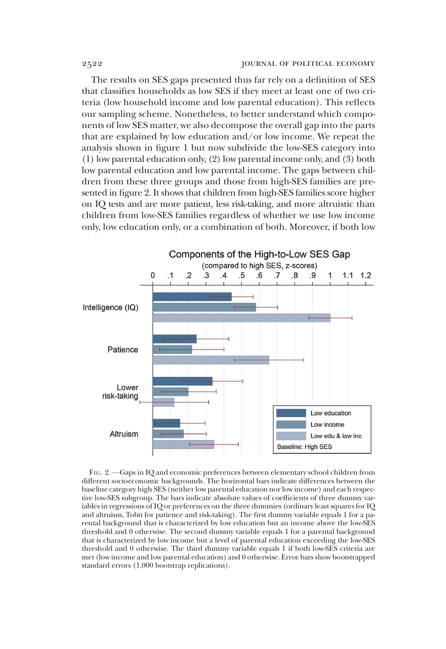The results on SES gaps presented thus far rely on a definition of SES that classifies households as low SES if they meet at least one of two criteria (low household income and low parental education). This reflects our sampling scheme. Nonetheless, to better understand which components of low SES matter, we also decompose the overall gap into the parts that are explained by low education and/or low income. We repeat the analysis shown in figure 1 but now subdivide the low-SES category into (1) low parental education only, (2) low parental income only, and (3) both low parental education and low parental income. The gaps between children from these three groups and those from high-SES families are presented in figure 2. It shows that children from high-SES families score higher on IQ tests and are more patient, less risk-taking, and more altruistic than children from low-SES families regardless of whether we use low income only, low education only, or a combination of both. Moreover, if both low



FIG. 2.—Gaps in IQ and economic preferences between elementary school children from different socioeconomic backgrounds. The horizontal bars indicate differences between the baseline category high SES (neither low parental education nor low income) and each respective low-SES subgroup. The bars indicate absolute values of coefficients of three dummy variables in regressions of IQ or preferences on the three dummies (ordinary least squares for IQ and altruism, Tobit for patience and risk-taking). The first dummy variable equals 1 for a parental background that is characterized by low education but an income above the low-SES threshold and 0 otherwise. The second dummy variable equals 1 for a parental background that is characterized by low income but a level of parental education exceeding the low-SES threshold and 0 otherwise. The third dummy variable equals 1 if both low-SES criteria are met (low income and low parental education) and 0 otherwise. Error bars show bootstrapped standard errors (1,000 bootstrap replications).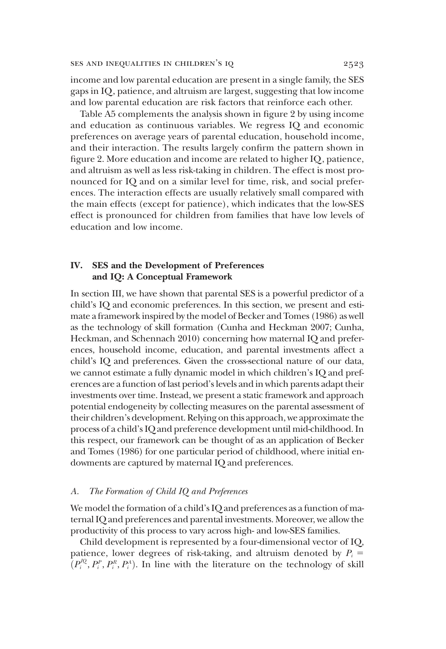income and low parental education are present in a single family, the SES gaps in IQ, patience, and altruism are largest, suggesting that low income and low parental education are risk factors that reinforce each other.

Table A5 complements the analysis shown in figure 2 by using income and education as continuous variables. We regress IQ and economic preferences on average years of parental education, household income, and their interaction. The results largely confirm the pattern shown in figure 2. More education and income are related to higher IQ, patience, and altruism as well as less risk-taking in children. The effect is most pronounced for IQ and on a similar level for time, risk, and social preferences. The interaction effects are usually relatively small compared with the main effects (except for patience), which indicates that the low-SES effect is pronounced for children from families that have low levels of education and low income.

# IV. SES and the Development of Preferences and IQ: A Conceptual Framework

In section III, we have shown that parental SES is a powerful predictor of a child's IQ and economic preferences. In this section, we present and estimate a framework inspired by the model of Becker and Tomes (1986) as well as the technology of skill formation (Cunha and Heckman 2007; Cunha, Heckman, and Schennach 2010) concerning how maternal IQ and preferences, household income, education, and parental investments affect a child's IQ and preferences. Given the cross-sectional nature of our data, we cannot estimate a fully dynamic model in which children's IQ and preferences are a function of last period's levels and in which parents adapt their investments over time. Instead, we present a static framework and approach potential endogeneity by collecting measures on the parental assessment of their children's development. Relying on this approach, we approximate the process of a child's IQ and preference development until mid-childhood. In this respect, our framework can be thought of as an application of Becker and Tomes (1986) for one particular period of childhood, where initial endowments are captured by maternal IQ and preferences.

# *A. The Formation of Child IQ and Preferences*

We model the formation of a child's IQ and preferences as a function of maternal IQ and preferences and parental investments. Moreover, we allow the productivity of this process to vary across high- and low-SES families.

Child development is represented by a four-dimensional vector of IQ, patience, lower degrees of risk-taking, and altruism denoted by  $P_i$  =  $(P_i^{IQ}, P_i^P, P_i^R, P_i^A)$ . In line with the literature on the technology of skill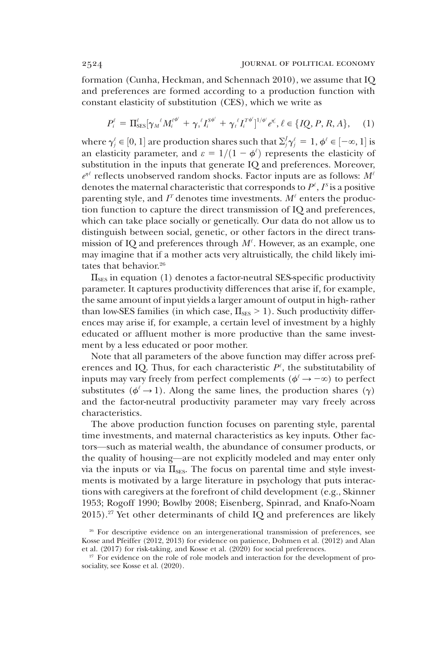formation (Cunha, Heckman, and Schennach 2010), we assume that IQ and preferences are formed according to a production function with constant elasticity of substitution (CES), which we write as

$$
P_i^{\ell} = \Pi_{\text{SES}}^{\ell} [\gamma_{M}{}^{\ell} M_i^{\ell \phi^{\ell}} + \gamma_{s}{}^{\ell} I_i^{\text{sg}} + \gamma_{t}{}^{\ell} I_i^{\text{rg}}]^{1/\phi^{\ell}} e^{\eta_i^{\ell}}, \ell \in \{IQ, P, R, A\}, \quad (1)
$$

where  $\gamma_j^\ell \in [0,1]$  are production shares such that  $\Sigma_j^j \gamma_j^\ell = 1$ ,  $\phi^\ell \in [-\infty,1]$  is an elasticity parameter, and  $\varepsilon = 1/(1 - \phi^{\ell})$  represents the elasticity of substitution in the inputs that generate IQ and preferences. Moreover, *e* h' reflects unobserved random shocks. Factor inputs are as follows: *M*' denotes the maternal characteristic that corresponds to  $P^{\ell}, I^{\mathrm{s}}$  is a positive parenting style, and  $I^{\mathsf{T}}$  denotes time investments.  $M^{\ell}$  enters the production function to capture the direct transmission of IQ and preferences, which can take place socially or genetically. Our data do not allow us to distinguish between social, genetic, or other factors in the direct transmission of IQ and preferences through *M*' . However, as an example, one may imagine that if a mother acts very altruistically, the child likely imitates that behavior.<sup>26</sup>

 $\Pi_{\rm SES}$  in equation (1) denotes a factor-neutral SES-specific productivity parameter. It captures productivity differences that arise if, for example, the same amount of input yields a larger amount of output in high- rather than low-SES families (in which case,  $\Pi_{\text{SES}} > 1$ ). Such productivity differences may arise if, for example, a certain level of investment by a highly educated or affluent mother is more productive than the same investment by a less educated or poor mother.

Note that all parameters of the above function may differ across preferences and IQ. Thus, for each characteristic  $P^{\ell}$ , the substitutability of inputs may vary freely from perfect complements ( $\phi^{\ell} \rightarrow -\infty$ ) to perfect substitutes ( $\phi^{\ell} \rightarrow 1$ ). Along the same lines, the production shares ( $\gamma$ ) and the factor-neutral productivity parameter may vary freely across characteristics.

The above production function focuses on parenting style, parental time investments, and maternal characteristics as key inputs. Other factors—such as material wealth, the abundance of consumer products, or the quality of housing—are not explicitly modeled and may enter only via the inputs or via  $\Pi_{\text{\tiny SES}}$ . The focus on parental time and style investments is motivated by a large literature in psychology that puts interactions with caregivers at the forefront of child development (e.g., Skinner 1953; Rogoff 1990; Bowlby 2008; Eisenberg, Spinrad, and Knafo-Noam  $2015$ ).<sup>27</sup> Yet other determinants of child IQ and preferences are likely

<sup>26</sup> For descriptive evidence on an intergenerational transmission of preferences, see Kosse and Pfeiffer (2012, 2013) for evidence on patience, Dohmen et al. (2012) and Alan et al. (2017) for risk-taking, and Kosse et al. (2020) for social preferences.

<sup>&</sup>lt;sup>27</sup> For evidence on the role of role models and interaction for the development of prosociality, see Kosse et al. (2020).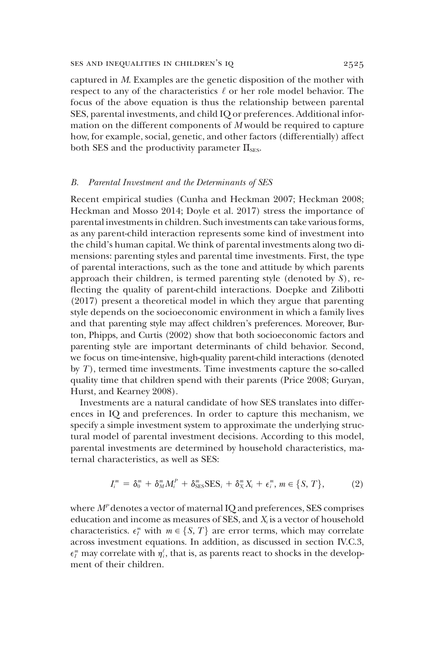captured in *M*. Examples are the genetic disposition of the mother with respect to any of the characteristics  $\ell$  or her role model behavior. The focus of the above equation is thus the relationship between parental SES, parental investments, and child IQ or preferences. Additional information on the different components of *M* would be required to capture how, for example, social, genetic, and other factors (differentially) affect both SES and the productivity parameter  $\Pi_{\text{\tiny SES}}$ .

### *B. Parental Investment and the Determinants of SES*

Recent empirical studies (Cunha and Heckman 2007; Heckman 2008; Heckman and Mosso 2014; Doyle et al. 2017) stress the importance of parental investments in children. Such investments can take various forms, as any parent-child interaction represents some kind of investment into the child's human capital. We think of parental investments along two dimensions: parenting styles and parental time investments. First, the type of parental interactions, such as the tone and attitude by which parents approach their children, is termed parenting style (denoted by *S*), reflecting the quality of parent-child interactions. Doepke and Zilibotti (2017) present a theoretical model in which they argue that parenting style depends on the socioeconomic environment in which a family lives and that parenting style may affect children's preferences. Moreover, Burton, Phipps, and Curtis (2002) show that both socioeconomic factors and parenting style are important determinants of child behavior. Second, we focus on time-intensive, high-quality parent-child interactions (denoted by *T*), termed time investments. Time investments capture the so-called quality time that children spend with their parents (Price 2008; Guryan, Hurst, and Kearney 2008).

Investments are a natural candidate of how SES translates into differences in IQ and preferences. In order to capture this mechanism, we specify a simple investment system to approximate the underlying structural model of parental investment decisions. According to this model, parental investments are determined by household characteristics, maternal characteristics, as well as SES:

$$
I_i^m = \delta_0^m + \delta_M^m M_i^P + \delta_{\text{SES}}^m \text{SES}_i + \delta_X^m X_i + \epsilon_i^m, m \in \{S, T\},\tag{2}
$$

where  $M^P$  denotes a vector of maternal IQ and preferences, SES comprises education and income as measures of SES, and *X<sup>i</sup>* is a vector of household characteristics.  $\epsilon_l^m$  with  $m \in \{S, T\}$  are error terms, which may correlate across investment equations. In addition, as discussed in section IV.C.3,  $\epsilon^\textit{m}_I$  may correlate with  $\eta^\ell_i$ , that is, as parents react to shocks in the development of their children.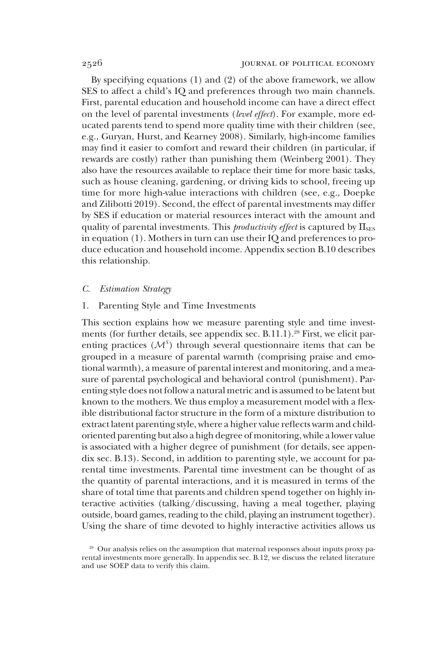By specifying equations (1) and (2) of the above framework, we allow SES to affect a child's IQ and preferences through two main channels. First, parental education and household income can have a direct effect on the level of parental investments (*level effect*). For example, more educated parents tend to spend more quality time with their children (see, e.g., Guryan, Hurst, and Kearney 2008). Similarly, high-income families may find it easier to comfort and reward their children (in particular, if rewards are costly) rather than punishing them (Weinberg 2001). They also have the resources available to replace their time for more basic tasks, such as house cleaning, gardening, or driving kids to school, freeing up time for more high-value interactions with children (see, e.g., Doepke and Zilibotti 2019). Second, the effect of parental investments may differ by SES if education or material resources interact with the amount and quality of parental investments. This *productivity effect* is captured by  $\Pi_{\text{SES}}$ in equation (1). Mothers in turn can use their IQ and preferences to produce education and household income. Appendix section B.10 describes this relationship.

### *C. Estimation Strategy*

# 1. Parenting Style and Time Investments

This section explains how we measure parenting style and time investments (for further details, see appendix sec.  $B.11.1$ ).<sup>28</sup> First, we elicit parenting practices  $(M<sup>s</sup>)$  through several questionnaire items that can be grouped in a measure of parental warmth (comprising praise and emotional warmth), a measure of parental interest and monitoring, and a measure of parental psychological and behavioral control (punishment). Parenting style does not follow a natural metric and is assumed to be latent but known to the mothers. We thus employ a measurement model with a flexible distributional factor structure in the form of a mixture distribution to extract latent parenting style, where a higher value reflects warm and childoriented parenting but also a high degree of monitoring, while a lower value is associated with a higher degree of punishment (for details, see appendix sec. B.13). Second, in addition to parenting style, we account for parental time investments. Parental time investment can be thought of as the quantity of parental interactions, and it is measured in terms of the share of total time that parents and children spend together on highly interactive activities (talking/discussing, having a meal together, playing outside, board games, reading to the child, playing an instrument together). Using the share of time devoted to highly interactive activities allows us

<sup>&</sup>lt;sup>28</sup> Our analysis relies on the assumption that maternal responses about inputs proxy parental investments more generally. In appendix sec. B.12, we discuss the related literature and use SOEP data to verify this claim.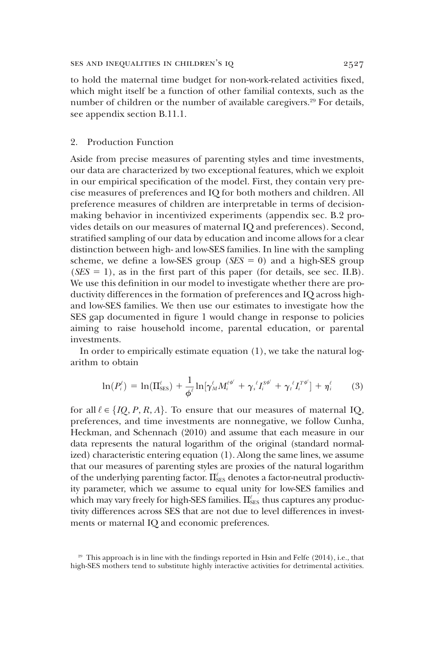to hold the maternal time budget for non-work-related activities fixed, which might itself be a function of other familial contexts, such as the number of children or the number of available caregivers.<sup>29</sup> For details, see appendix section B.11.1.

## 2. Production Function

Aside from precise measures of parenting styles and time investments, our data are characterized by two exceptional features, which we exploit in our empirical specification of the model. First, they contain very precise measures of preferences and IQ for both mothers and children. All preference measures of children are interpretable in terms of decisionmaking behavior in incentivized experiments (appendix sec. B.2 provides details on our measures of maternal IQ and preferences). Second, stratified sampling of our data by education and income allows for a clear distinction between high- and low-SES families. In line with the sampling scheme, we define a low-SES group ( $SES = 0$ ) and a high-SES group  $(SES = 1)$ , as in the first part of this paper (for details, see sec. II.B). We use this definition in our model to investigate whether there are productivity differences in the formation of preferences and IQ across highand low-SES families. We then use our estimates to investigate how the SES gap documented in figure 1 would change in response to policies aiming to raise household income, parental education, or parental investments.

In order to empirically estimate equation  $(1)$ , we take the natural logarithm to obtain

$$
\ln(P_i^{\ell}) = \ln(\Pi_{\text{SES}}^{\ell}) + \frac{1}{\phi^{\ell}} \ln[\gamma_M^{\ell} M_i^{\ell^{\phi^{\ell}}} + \gamma_s^{\ell} I_i^{\text{S}\phi^{\ell}} + \gamma_t^{\ell} I_i^{\text{T}\phi^{\ell}}] + \eta_i^{\ell} \tag{3}
$$

for all  $\ell \in \{IQ, P, R, A\}$ . To ensure that our measures of maternal IQ, preferences, and time investments are nonnegative, we follow Cunha, Heckman, and Schennach (2010) and assume that each measure in our data represents the natural logarithm of the original (standard normalized) characteristic entering equation (1). Along the same lines, we assume that our measures of parenting styles are proxies of the natural logarithm of the underlying parenting factor.  $\Pi_{\text{SES}}^{\ell}$  denotes a factor-neutral productivity parameter, which we assume to equal unity for low-SES families and which may vary freely for high-SES families.  $\Pi_{\text{\tiny{SES}}}^\ell$  thus captures any productivity differences across SES that are not due to level differences in investments or maternal IQ and economic preferences.

<sup>29</sup> This approach is in line with the findings reported in Hsin and Felfe (2014), i.e., that high-SES mothers tend to substitute highly interactive activities for detrimental activities.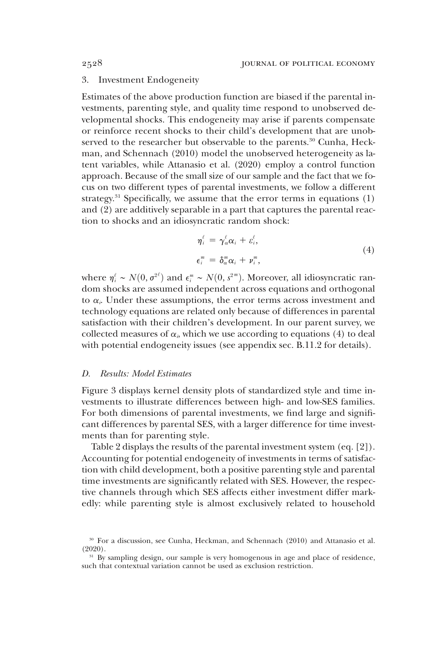### 3. Investment Endogeneity

Estimates of the above production function are biased if the parental investments, parenting style, and quality time respond to unobserved developmental shocks. This endogeneity may arise if parents compensate or reinforce recent shocks to their child's development that are unobserved to the researcher but observable to the parents.<sup>30</sup> Cunha, Heckman, and Schennach (2010) model the unobserved heterogeneity as latent variables, while Attanasio et al. (2020) employ a control function approach. Because of the small size of our sample and the fact that we focus on two different types of parental investments, we follow a different strategy.<sup>31</sup> Specifically, we assume that the error terms in equations  $(1)$ and (2) are additively separable in a part that captures the parental reaction to shocks and an idiosyncratic random shock:

$$
\eta_i^{\ell} = \gamma_{\alpha}^{\ell} \alpha_i + \varepsilon_i^{\ell},
$$
  
\n
$$
\epsilon_i^m = \delta_{\alpha}^m \alpha_i + \nu_i^m,
$$
\n(4)

where  $η<sup>i</sup><sub>i</sub> ~ N(0, σ<sup>2*i*</sup>)$  and  $ε<sup>m</sup><sub>i</sub> ~ N(0, s<sup>2*m*</sup>). Moreover, all idiosyncratic ran$ dom shocks are assumed independent across equations and orthogonal to  $\alpha_i$ . Under these assumptions, the error terms across investment and technology equations are related only because of differences in parental satisfaction with their children's development. In our parent survey, we collected measures of  $\alpha$ <sup>*i*</sup>, which we use according to equations (4) to deal with potential endogeneity issues (see appendix sec. B.11.2 for details).

#### *D. Results: Model Estimates*

Figure 3 displays kernel density plots of standardized style and time investments to illustrate differences between high- and low-SES families. For both dimensions of parental investments, we find large and significant differences by parental SES, with a larger difference for time investments than for parenting style.

Table 2 displays the results of the parental investment system (eq. [2]). Accounting for potential endogeneity of investments in terms of satisfaction with child development, both a positive parenting style and parental time investments are significantly related with SES. However, the respective channels through which SES affects either investment differ markedly: while parenting style is almost exclusively related to household

<sup>30</sup> For a discussion, see Cunha, Heckman, and Schennach (2010) and Attanasio et al. (2020).

<sup>31</sup> By sampling design, our sample is very homogenous in age and place of residence, such that contextual variation cannot be used as exclusion restriction.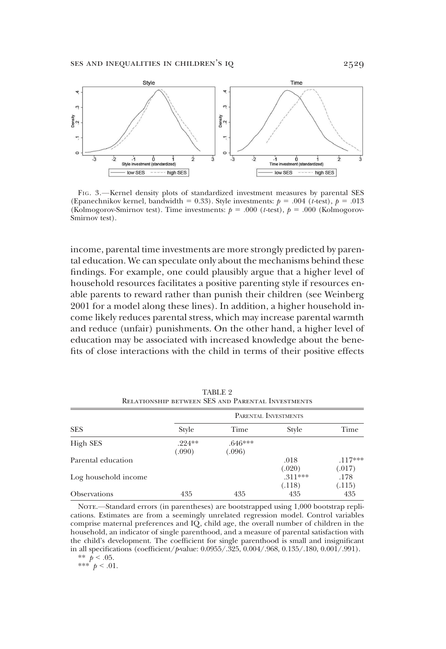

FIG. 3.—Kernel density plots of standardized investment measures by parental SES (Epanechnikov kernel, bandwidth = 0.33). Style investments:  $p = .004$  (*t*-test),  $p = .013$ (Kolmogorov-Smirnov test). Time investments:  $p = .000$  (*t*-test),  $p = .000$  (Kolmogorov-Smirnov test).

income, parental time investments are more strongly predicted by parental education. We can speculate only about the mechanisms behind these findings. For example, one could plausibly argue that a higher level of household resources facilitates a positive parenting style if resources enable parents to reward rather than punish their children (see Weinberg 2001 for a model along these lines). In addition, a higher household income likely reduces parental stress, which may increase parental warmth and reduce (unfair) punishments. On the other hand, a higher level of education may be associated with increased knowledge about the benefits of close interactions with the child in terms of their positive effects

|                      | PARENTAL INVESTMENTS |                     |                     |                     |  |  |
|----------------------|----------------------|---------------------|---------------------|---------------------|--|--|
| <b>SES</b>           | Style                | Time                | Style               | Time                |  |  |
| High SES             | $.224**$<br>(.090)   | $.646***$<br>(.096) |                     |                     |  |  |
| Parental education   |                      |                     | .018<br>(.020)      | $.117***$<br>(.017) |  |  |
| Log household income |                      |                     | $.311***$<br>(.118) | .178<br>(.115)      |  |  |
| <b>Observations</b>  | 435                  | 435                 | 435                 | 435                 |  |  |

TABLE 9 Relationship between SES and Parental Investments

NOTE.-Standard errors (in parentheses) are bootstrapped using 1,000 bootstrap replications. Estimates are from a seemingly unrelated regression model. Control variables comprise maternal preferences and IQ, child age, the overall number of children in the household, an indicator of single parenthood, and a measure of parental satisfaction with the child's development. The coefficient for single parenthood is small and insignificant in all specifications (coefficient/*p*-value: 0.0955/.325, 0.004/.968, 0.135/.180, 0.001/.991).

\*\*  $p < .05$ .

\*\*\* $^{'}p < .01$ .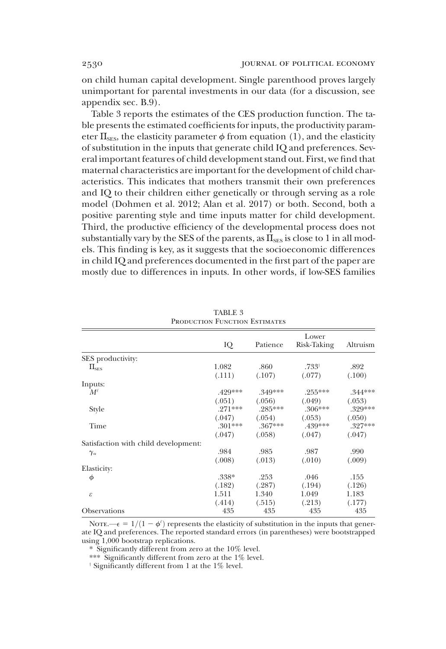on child human capital development. Single parenthood proves largely unimportant for parental investments in our data (for a discussion, see appendix sec. B.9).

Table 3 reports the estimates of the CES production function. The table presents the estimated coefficients for inputs, the productivity parameter  $\Pi_{\text{SES}}$ , the elasticity parameter  $\phi$  from equation (1), and the elasticity of substitution in the inputs that generate child IQ and preferences. Several important features of child development stand out. First, we find that maternal characteristics are important for the development of child characteristics. This indicates that mothers transmit their own preferences and IQ to their children either genetically or through serving as a role model (Dohmen et al. 2012; Alan et al. 2017) or both. Second, both a positive parenting style and time inputs matter for child development. Third, the productive efficiency of the developmental process does not substantially vary by the SES of the parents, as  $\Pi_{\text{\tiny SES}}$  is close to 1 in all models. This finding is key, as it suggests that the socioeconomic differences in child IQ and preferences documented in the first part of the paper are mostly due to differences in inputs. In other words, if low-SES families

|                                      |           |           | Lower            |           |
|--------------------------------------|-----------|-----------|------------------|-----------|
|                                      | IQ        | Patience  | Risk-Taking      | Altruism  |
| SES productivity:                    |           |           |                  |           |
| $\Pi_{\text{SES}}$                   | 1.082     | .860      | $.733^{\dagger}$ | .892      |
|                                      | (.111)    | (.107)    | (.077)           | (.100)    |
| Inputs:                              |           |           |                  |           |
| $M^{\ell}$                           | .429***   | $.349***$ | $.255***$        | $.344***$ |
|                                      | (.051)    | (.056)    | (.049)           | (.053)    |
| Style                                | $.271***$ | $.285***$ | $.306***$        | $.329***$ |
|                                      | (.047)    | (.054)    | (.053)           | (.050)    |
| Time                                 | $.301***$ | $.367***$ | $.439***$        | $.327***$ |
|                                      | (.047)    | (.058)    | (.047)           | (.047)    |
| Satisfaction with child development: |           |           |                  |           |
| $\gamma_\alpha$                      | .984      | .985      | .987             | .990      |
|                                      | (.008)    | (.013)    | (.010)           | (.009)    |
| Elasticity:                          |           |           |                  |           |
| $\phi$                               | $.338*$   | .253      | .046             | .155      |
|                                      | (.182)    | (.287)    | (.194)           | (.126)    |
| $\boldsymbol{\varepsilon}$           | 1.511     | 1.340     | 1.049            | 1.183     |
|                                      | (.414)    | (.515)    | (.213)           | (.177)    |
| Observations                         | 435       | 435       | 435              | 435       |

TABLE 3 PRODUCTION FUNCTION ESTIMATES

NOTE.— $\epsilon = 1/(1 - \phi^{\ell})$  represents the elasticity of substitution in the inputs that generate IQ and preferences. The reported standard errors (in parentheses) were bootstrapped using 1,000 bootstrap replications.

\* Significantly different from zero at the 10% level.

\*\*\* Significantly different from zero at the 1% level.

 $\dagger$  Significantly different from 1 at the 1% level.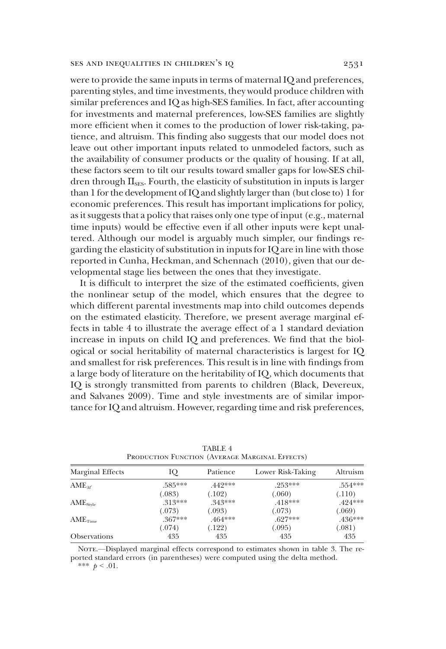were to provide the same inputs in terms of maternal IQ and preferences, parenting styles, and time investments, they would produce children with similar preferences and IQ as high-SES families. In fact, after accounting for investments and maternal preferences, low-SES families are slightly more efficient when it comes to the production of lower risk-taking, patience, and altruism. This finding also suggests that our model does not leave out other important inputs related to unmodeled factors, such as the availability of consumer products or the quality of housing. If at all, these factors seem to tilt our results toward smaller gaps for low-SES children through  $\Pi_{\text{\tiny SES}}$ . Fourth, the elasticity of substitution in inputs is larger than 1 for the development of IQ and slightly larger than (but close to) 1 for economic preferences. This result has important implications for policy, as it suggests that a policy that raises only one type of input (e.g., maternal time inputs) would be effective even if all other inputs were kept unaltered. Although our model is arguably much simpler, our findings regarding the elasticity of substitution in inputs for IQ are in line with those reported in Cunha, Heckman, and Schennach (2010), given that our developmental stage lies between the ones that they investigate.

It is difficult to interpret the size of the estimated coefficients, given the nonlinear setup of the model, which ensures that the degree to which different parental investments map into child outcomes depends on the estimated elasticity. Therefore, we present average marginal effects in table 4 to illustrate the average effect of a 1 standard deviation increase in inputs on child IQ and preferences. We find that the biological or social heritability of maternal characteristics is largest for IQ and smallest for risk preferences. This result is in line with findings from a large body of literature on the heritability of IQ, which documents that IQ is strongly transmitted from parents to children (Black, Devereux, and Salvanes 2009). Time and style investments are of similar importance for IQ and altruism. However, regarding time and risk preferences,

| Marginal Effects            | IQ        | Patience  | Lower Risk-Taking | Altruism  |
|-----------------------------|-----------|-----------|-------------------|-----------|
| $AME_{M'}$                  | .585***   | $.442***$ | $.253***$         | .554***   |
|                             | (.083)    | (.102)    | (.060)            | (.110)    |
| $\text{AME}_{\text{stvle}}$ | $313***$  | $.343***$ | $.418***$         | $.424***$ |
|                             | (.073)    | (.093)    | (.073)            | (.069)    |
| $\text{AME}_{\text{Time}}$  | $.367***$ | $.464***$ | $.627***$         | $.436***$ |
|                             | (.074)    | (.122)    | (.095)            | (.081)    |
| <b>Observations</b>         | 435       | 435       | 435               | 435       |
|                             |           |           |                   |           |

TABLE 4 Production Function (Average Marginal Effects)

NOTE.—Displayed marginal effects correspond to estimates shown in table 3. The reported standard errors (in parentheses) were computed using the delta method. \*\*\*  $p < .01$ .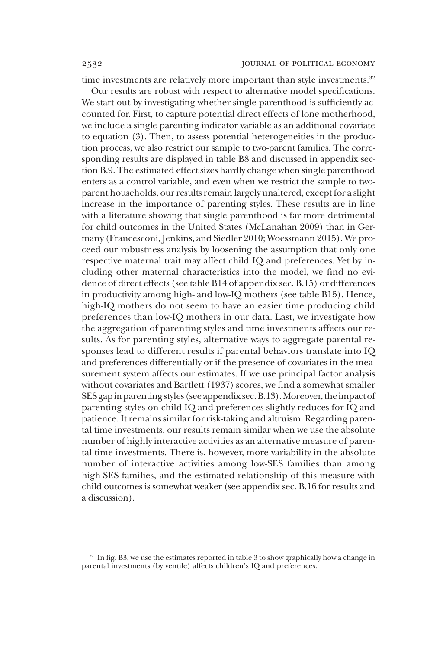time investments are relatively more important than style investments.<sup>32</sup>

Our results are robust with respect to alternative model specifications. We start out by investigating whether single parenthood is sufficiently accounted for. First, to capture potential direct effects of lone motherhood, we include a single parenting indicator variable as an additional covariate to equation (3). Then, to assess potential heterogeneities in the production process, we also restrict our sample to two-parent families. The corresponding results are displayed in table B8 and discussed in appendix section B.9. The estimated effect sizes hardly change when single parenthood enters as a control variable, and even when we restrict the sample to twoparent households, our results remain largely unaltered, except for a slight increase in the importance of parenting styles. These results are in line with a literature showing that single parenthood is far more detrimental for child outcomes in the United States (McLanahan 2009) than in Germany (Francesconi, Jenkins, and Siedler 2010; Woessmann 2015). We proceed our robustness analysis by loosening the assumption that only one respective maternal trait may affect child IQ and preferences. Yet by including other maternal characteristics into the model, we find no evidence of direct effects (see table B14 of appendix sec. B.15) or differences in productivity among high- and low-IQ mothers (see table B15). Hence, high-IQ mothers do not seem to have an easier time producing child preferences than low-IQ mothers in our data. Last, we investigate how the aggregation of parenting styles and time investments affects our results. As for parenting styles, alternative ways to aggregate parental responses lead to different results if parental behaviors translate into IQ and preferences differentially or if the presence of covariates in the measurement system affects our estimates. If we use principal factor analysis without covariates and Bartlett (1937) scores, we find a somewhat smaller SES gap in parenting styles (see appendix sec. B.13). Moreover, the impact of parenting styles on child IQ and preferences slightly reduces for IQ and patience. It remains similar for risk-taking and altruism. Regarding parental time investments, our results remain similar when we use the absolute number of highly interactive activities as an alternative measure of parental time investments. There is, however, more variability in the absolute number of interactive activities among low-SES families than among high-SES families, and the estimated relationship of this measure with child outcomes is somewhat weaker (see appendix sec. B.16 for results and a discussion).

<sup>&</sup>lt;sup>32</sup> In fig. B3, we use the estimates reported in table 3 to show graphically how a change in parental investments (by ventile) affects children's IQ and preferences.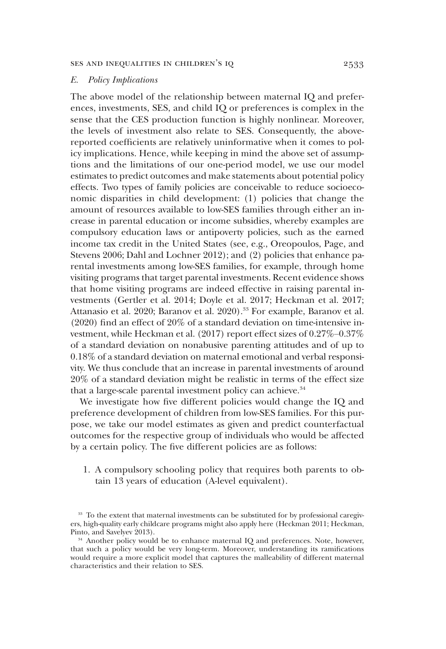## *E. Policy Implications*

The above model of the relationship between maternal IQ and preferences, investments, SES, and child IQ or preferences is complex in the sense that the CES production function is highly nonlinear. Moreover, the levels of investment also relate to SES. Consequently, the abovereported coefficients are relatively uninformative when it comes to policy implications. Hence, while keeping in mind the above set of assumptions and the limitations of our one-period model, we use our model estimates to predict outcomes and make statements about potential policy effects. Two types of family policies are conceivable to reduce socioeconomic disparities in child development: (1) policies that change the amount of resources available to low-SES families through either an increase in parental education or income subsidies, whereby examples are compulsory education laws or antipoverty policies, such as the earned income tax credit in the United States (see, e.g., Oreopoulos, Page, and Stevens 2006; Dahl and Lochner 2012); and (2) policies that enhance parental investments among low-SES families, for example, through home visiting programs that target parental investments. Recent evidence shows that home visiting programs are indeed effective in raising parental investments (Gertler et al. 2014; Doyle et al. 2017; Heckman et al. 2017; Attanasio et al. 2020; Baranov et al. 2020).<sup>33</sup> For example, Baranov et al. (2020) find an effect of 20% of a standard deviation on time-intensive investment, while Heckman et al. (2017) report effect sizes of 0.27%–0.37% of a standard deviation on nonabusive parenting attitudes and of up to 0.18% of a standard deviation on maternal emotional and verbal responsivity. We thus conclude that an increase in parental investments of around 20% of a standard deviation might be realistic in terms of the effect size that a large-scale parental investment policy can achieve.<sup>34</sup>

We investigate how five different policies would change the IQ and preference development of children from low-SES families. For this purpose, we take our model estimates as given and predict counterfactual outcomes for the respective group of individuals who would be affected by a certain policy. The five different policies are as follows:

1. A compulsory schooling policy that requires both parents to obtain 13 years of education (A-level equivalent).

<sup>&</sup>lt;sup>33</sup> To the extent that maternal investments can be substituted for by professional caregivers, high-quality early childcare programs might also apply here (Heckman 2011; Heckman, Pinto, and Savelyev 2013).

<sup>&</sup>lt;sup>34</sup> Another policy would be to enhance maternal IQ and preferences. Note, however, that such a policy would be very long-term. Moreover, understanding its ramifications would require a more explicit model that captures the malleability of different maternal characteristics and their relation to SES.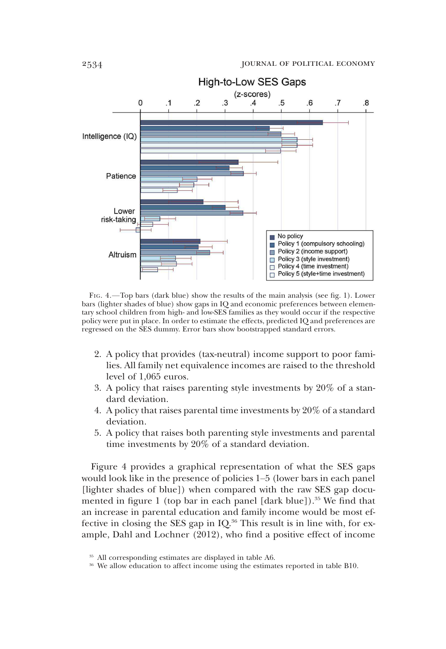

FIG. 4.—Top bars (dark blue) show the results of the main analysis (see fig. 1). Lower bars (lighter shades of blue) show gaps in IQ and economic preferences between elementary school children from high- and low-SES families as they would occur if the respective policy were put in place. In order to estimate the effects, predicted IQ and preferences are regressed on the SES dummy. Error bars show bootstrapped standard errors.

- 2. A policy that provides (tax-neutral) income support to poor families. All family net equivalence incomes are raised to the threshold level of 1,065 euros.
- 3. A policy that raises parenting style investments by 20% of a standard deviation.
- 4. A policy that raises parental time investments by 20% of a standard deviation.
- 5. A policy that raises both parenting style investments and parental time investments by 20% of a standard deviation.

Figure 4 provides a graphical representation of what the SES gaps would look like in the presence of policies 1–5 (lower bars in each panel [lighter shades of blue]) when compared with the raw SES gap documented in figure 1 (top bar in each panel  $[dark blue]$ ).<sup>35</sup> We find that an increase in parental education and family income would be most effective in closing the SES gap in IQ.<sup>36</sup> This result is in line with, for example, Dahl and Lochner (2012), who find a positive effect of income

<sup>35</sup> All corresponding estimates are displayed in table A6.

<sup>&</sup>lt;sup>36</sup> We allow education to affect income using the estimates reported in table B10.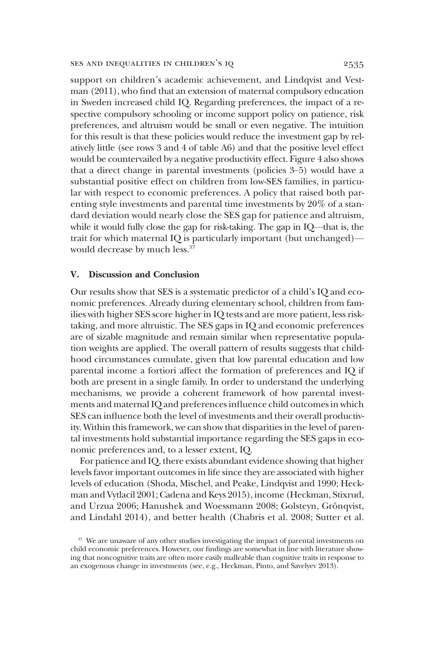support on children's academic achievement, and Lindqvist and Vestman (2011), who find that an extension of maternal compulsory education in Sweden increased child IQ. Regarding preferences, the impact of a respective compulsory schooling or income support policy on patience, risk preferences, and altruism would be small or even negative. The intuition for this result is that these policies would reduce the investment gap by relatively little (see rows 3 and 4 of table A6) and that the positive level effect would be countervailed by a negative productivity effect. Figure 4 also shows that a direct change in parental investments (policies 3–5) would have a substantial positive effect on children from low-SES families, in particular with respect to economic preferences. A policy that raised both parenting style investments and parental time investments by 20% of a standard deviation would nearly close the SES gap for patience and altruism, while it would fully close the gap for risk-taking. The gap in IQ—that is, the trait for which maternal IQ is particularly important (but unchanged) would decrease by much less.<sup>37</sup>

# V. Discussion and Conclusion

Our results show that SES is a systematic predictor of a child's IQ and economic preferences. Already during elementary school, children from families with higher SES score higher in IQ tests and are more patient, less risktaking, and more altruistic. The SES gaps in IQ and economic preferences are of sizable magnitude and remain similar when representative population weights are applied. The overall pattern of results suggests that childhood circumstances cumulate, given that low parental education and low parental income a fortiori affect the formation of preferences and IQ if both are present in a single family. In order to understand the underlying mechanisms, we provide a coherent framework of how parental investments and maternal IQ and preferences influence child outcomes in which SES can influence both the level of investments and their overall productivity. Within this framework, we can show that disparities in the level of parental investments hold substantial importance regarding the SES gaps in economic preferences and, to a lesser extent, IQ.

For patience and IQ, there exists abundant evidence showing that higher levels favor important outcomes in life since they are associated with higher levels of education (Shoda, Mischel, and Peake, Lindqvist and 1990; Heckman and Vytlacil 2001; Cadena and Keys 2015), income (Heckman, Stixrud, and Urzua 2006; Hanushek and Woessmann 2008; Golsteyn, Grönqvist, and Lindahl 2014), and better health (Chabris et al. 2008; Sutter et al.

<sup>&</sup>lt;sup>37</sup> We are unaware of any other studies investigating the impact of parental investments on child economic preferences. However, our findings are somewhat in line with literature showing that noncognitive traits are often more easily malleable than cognitive traits in response to an exogenous change in investments (see, e.g., Heckman, Pinto, and Savelyev 2013).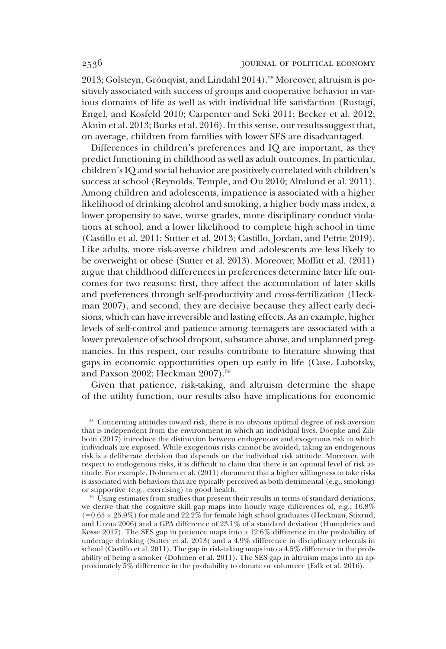2013; Golsteyn, Grönqvist, and Lindahl 2014).<sup>38</sup> Moreover, altruism is positively associated with success of groups and cooperative behavior in various domains of life as well as with individual life satisfaction (Rustagi, Engel, and Kosfeld 2010; Carpenter and Seki 2011; Becker et al. 2012; Aknin et al. 2013; Burks et al. 2016). In this sense, our results suggest that, on average, children from families with lower SES are disadvantaged.

Differences in children's preferences and IQ are important, as they predict functioning in childhood as well as adult outcomes. In particular, children's IQ and social behavior are positively correlated with children's success at school (Reynolds, Temple, and Ou 2010; Almlund et al. 2011). Among children and adolescents, impatience is associated with a higher likelihood of drinking alcohol and smoking, a higher body mass index, a lower propensity to save, worse grades, more disciplinary conduct violations at school, and a lower likelihood to complete high school in time (Castillo et al. 2011; Sutter et al. 2013; Castillo, Jordan, and Petrie 2019). Like adults, more risk-averse children and adolescents are less likely to be overweight or obese (Sutter et al. 2013). Moreover, Moffitt et al. (2011) argue that childhood differences in preferences determine later life outcomes for two reasons: first, they affect the accumulation of later skills and preferences through self-productivity and cross-fertilization (Heckman 2007), and second, they are decisive because they affect early decisions, which can have irreversible and lasting effects. As an example, higher levels of self-control and patience among teenagers are associated with a lower prevalence of school dropout, substance abuse, and unplanned pregnancies. In this respect, our results contribute to literature showing that gaps in economic opportunities open up early in life (Case, Lubotsky, and Paxson 2002; Heckman 2007).<sup>39</sup>

Given that patience, risk-taking, and altruism determine the shape of the utility function, our results also have implications for economic

<sup>38</sup> Concerning attitudes toward risk, there is no obvious optimal degree of risk aversion that is independent from the environment in which an individual lives. Doepke and Zilibotti (2017) introduce the distinction between endogenous and exogenous risk to which individuals are exposed. While exogenous risks cannot be avoided, taking an endogenous risk is a deliberate decision that depends on the individual risk attitude. Moreover, with respect to endogenous risks, it is difficult to claim that there is an optimal level of risk attitude. For example, Dohmen et al. (2011) document that a higher willingness to take risks is associated with behaviors that are typically perceived as both detrimental (e.g., smoking) or supportive (e.g., exercising) to good health.

<sup>&</sup>lt;sup>39</sup> Using estimates from studies that present their results in terms of standard deviations, we derive that the cognitive skill gap maps into hourly wage differences of, e.g., 16.8%  $(=0.65 \times 25.9\%)$  for male and 22.2% for female high school graduates (Heckman, Stixrud, and Urzua 2006) and a GPA difference of 23.1% of a standard deviation (Humphries and Kosse 2017). The SES gap in patience maps into a 12.6% difference in the probability of underage drinking (Sutter et al. 2013) and a 4.9% difference in disciplinary referrals in school (Castillo et al. 2011). The gap in risk-taking maps into a 4.5% difference in the probability of being a smoker (Dohmen et al. 2011). The SES gap in altruism maps into an approximately 5% difference in the probability to donate or volunteer (Falk et al. 2016).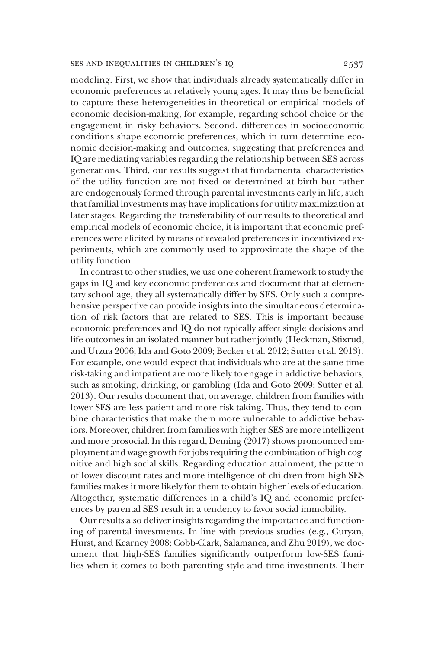modeling. First, we show that individuals already systematically differ in economic preferences at relatively young ages. It may thus be beneficial to capture these heterogeneities in theoretical or empirical models of economic decision-making, for example, regarding school choice or the engagement in risky behaviors. Second, differences in socioeconomic conditions shape economic preferences, which in turn determine economic decision-making and outcomes, suggesting that preferences and IQ are mediating variables regarding the relationship between SES across generations. Third, our results suggest that fundamental characteristics of the utility function are not fixed or determined at birth but rather are endogenously formed through parental investments early in life, such that familial investments may have implications for utility maximization at later stages. Regarding the transferability of our results to theoretical and empirical models of economic choice, it is important that economic preferences were elicited by means of revealed preferences in incentivized experiments, which are commonly used to approximate the shape of the utility function.

In contrast to other studies, we use one coherent framework to study the gaps in IQ and key economic preferences and document that at elementary school age, they all systematically differ by SES. Only such a comprehensive perspective can provide insights into the simultaneous determination of risk factors that are related to SES. This is important because economic preferences and IQ do not typically affect single decisions and life outcomes in an isolated manner but rather jointly (Heckman, Stixrud, and Urzua 2006; Ida and Goto 2009; Becker et al. 2012; Sutter et al. 2013). For example, one would expect that individuals who are at the same time risk-taking and impatient are more likely to engage in addictive behaviors, such as smoking, drinking, or gambling (Ida and Goto 2009; Sutter et al. 2013). Our results document that, on average, children from families with lower SES are less patient and more risk-taking. Thus, they tend to combine characteristics that make them more vulnerable to addictive behaviors. Moreover, children from families with higher SES are more intelligent and more prosocial. In this regard, Deming (2017) shows pronounced employment and wage growth for jobs requiring the combination of high cognitive and high social skills. Regarding education attainment, the pattern of lower discount rates and more intelligence of children from high-SES families makes it more likely for them to obtain higher levels of education. Altogether, systematic differences in a child's IQ and economic preferences by parental SES result in a tendency to favor social immobility.

Our results also deliver insights regarding the importance and functioning of parental investments. In line with previous studies (e.g., Guryan, Hurst, and Kearney 2008; Cobb-Clark, Salamanca, and Zhu 2019), we document that high-SES families significantly outperform low-SES families when it comes to both parenting style and time investments. Their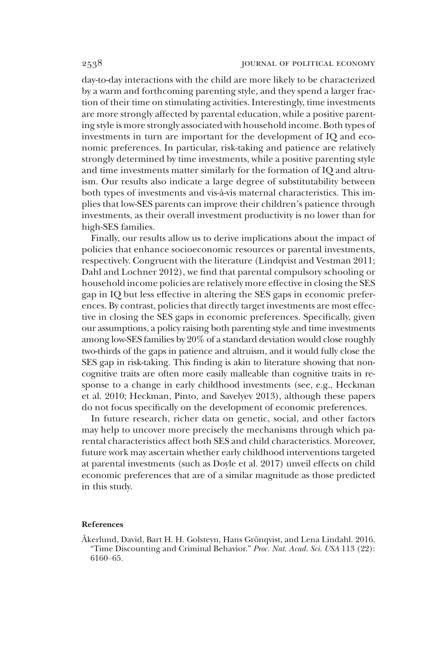day-to-day interactions with the child are more likely to be characterized by a warm and forthcoming parenting style, and they spend a larger fraction of their time on stimulating activities. Interestingly, time investments are more strongly affected by parental education, while a positive parenting style is more strongly associated with household income. Both types of investments in turn are important for the development of IQ and economic preferences. In particular, risk-taking and patience are relatively strongly determined by time investments, while a positive parenting style and time investments matter similarly for the formation of IQ and altruism. Our results also indicate a large degree of substitutability between both types of investments and vis-à-vis maternal characteristics. This implies that low-SES parents can improve their children's patience through investments, as their overall investment productivity is no lower than for high-SES families.

Finally, our results allow us to derive implications about the impact of policies that enhance socioeconomic resources or parental investments, respectively. Congruent with the literature (Lindqvist and Vestman 2011; Dahl and Lochner 2012), we find that parental compulsory schooling or household income policies are relatively more effective in closing the SES gap in IQ but less effective in altering the SES gaps in economic preferences. By contrast, policies that directly target investments are most effective in closing the SES gaps in economic preferences. Specifically, given our assumptions, a policy raising both parenting style and time investments among low-SES families by 20% of a standard deviation would close roughly two-thirds of the gaps in patience and altruism, and it would fully close the SES gap in risk-taking. This finding is akin to literature showing that noncognitive traits are often more easily malleable than cognitive traits in response to a change in early childhood investments (see, e.g., Heckman et al. 2010; Heckman, Pinto, and Savelyev 2013), although these papers do not focus specifically on the development of economic preferences.

In future research, richer data on genetic, social, and other factors may help to uncover more precisely the mechanisms through which parental characteristics affect both SES and child characteristics. Moreover, future work may ascertain whether early childhood interventions targeted at parental investments (such as Doyle et al. 2017) unveil effects on child economic preferences that are of a similar magnitude as those predicted in this study.

### References

Åkerlund, David, Bart H. H. Golsteyn, Hans Grönqvist, and Lena Lindahl. 2016. "Time Discounting and Criminal Behavior." *Proc. Nat. Acad. Sci. USA* 113 (22): 6160–65.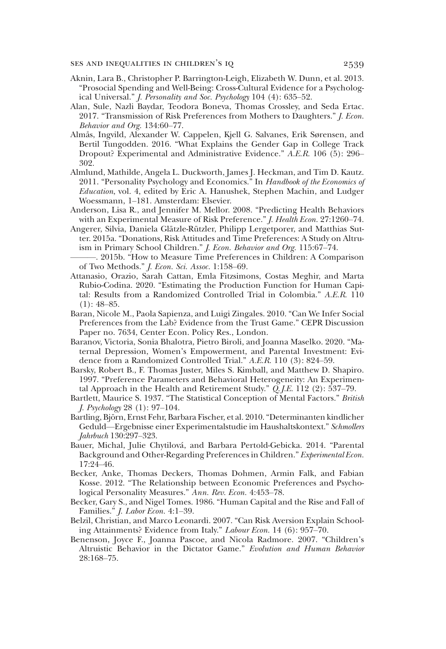- Aknin, Lara B., Christopher P. Barrington-Leigh, Elizabeth W. Dunn, et al. 2013. "Prosocial Spending and Well-Being: Cross-Cultural Evidence for a Psychological Universal." *J. Personality and Soc. Psychology* 104 (4): 635–52.
- Alan, Sule, Nazli Baydar, Teodora Boneva, Thomas Crossley, and Seda Ertac. 2017. "Transmission of Risk Preferences from Mothers to Daughters." *J. Econ. Behavior and Org.* 134:60–77.
- Almås, Ingvild, Alexander W. Cappelen, Kjell G. Salvanes, Erik Sørensen, and Bertil Tungodden. 2016. "What Explains the Gender Gap in College Track Dropout? Experimental and Administrative Evidence." *A.E.R.* 106 (5): 296– 302.
- Almlund, Mathilde, Angela L. Duckworth, James J. Heckman, and Tim D. Kautz. 2011. "Personality Psychology and Economics." In *Handbook of the Economics of Education*, vol. 4, edited by Eric A. Hanushek, Stephen Machin, and Ludger Woessmann, 1–181. Amsterdam: Elsevier.
- Anderson, Lisa R., and Jennifer M. Mellor. 2008. "Predicting Health Behaviors with an Experimental Measure of Risk Preference." *J. Health Econ.* 27:1260–74.
- Angerer, Silvia, Daniela Glätzle-Rützler, Philipp Lergetporer, and Matthias Sutter. 2015a. "Donations, Risk Attitudes and Time Preferences: A Study on Altruism in Primary School Children." *J. Econ. Behavior and Org.* 115:67–74.
- ———. 2015b. "How to Measure Time Preferences in Children: A Comparison of Two Methods." *J. Econ. Sci. Assoc.* 1:158–69.
- Attanasio, Orazio, Sarah Cattan, Emla Fitzsimons, Costas Meghir, and Marta Rubio-Codina. 2020. "Estimating the Production Function for Human Capital: Results from a Randomized Controlled Trial in Colombia." *A.E.R.* 110  $(1): 48 - 85.$
- Baran, Nicole M., Paola Sapienza, and Luigi Zingales. 2010. "Can We Infer Social Preferences from the Lab? Evidence from the Trust Game." CEPR Discussion Paper no. 7634, Center Econ. Policy Res., London.
- Baranov, Victoria, Sonia Bhalotra, Pietro Biroli, and Joanna Maselko. 2020. "Maternal Depression, Women's Empowerment, and Parental Investment: Evidence from a Randomized Controlled Trial." *A.E.R.* 110 (3): 824–59.
- Barsky, Robert B., F. Thomas Juster, Miles S. Kimball, and Matthew D. Shapiro. 1997. "Preference Parameters and Behavioral Heterogeneity: An Experimental Approach in the Health and Retirement Study." *Q. J.E.* 112 (2): 537–79.
- Bartlett, Maurice S. 1937. "The Statistical Conception of Mental Factors." *British J. Psychology* 28 (1): 97–104.
- Bartling, Björn, Ernst Fehr, Barbara Fischer, et al. 2010."Determinanten kindlicher Geduld—Ergebnisse einer Experimentalstudie im Haushaltskontext." *Schmollers Jahrbuch* 130:297–323.
- Bauer, Michal, Julie Chytilová, and Barbara Pertold-Gebicka. 2014. "Parental Background and Other-Regarding Preferences in Children." *Experimental Econ.* 17:24–46.
- Becker, Anke, Thomas Deckers, Thomas Dohmen, Armin Falk, and Fabian Kosse. 2012. "The Relationship between Economic Preferences and Psychological Personality Measures." *Ann. Rev. Econ.* 4:453–78.
- Becker, Gary S., and Nigel Tomes. 1986. "Human Capital and the Rise and Fall of Families." *J. Labor Econ.* 4:1–39.
- Belzil, Christian, and Marco Leonardi. 2007. "Can Risk Aversion Explain Schooling Attainments? Evidence from Italy." *Labour Econ.* 14 (6): 957–70.
- Benenson, Joyce F., Joanna Pascoe, and Nicola Radmore. 2007. "Children's Altruistic Behavior in the Dictator Game." *Evolution and Human Behavior* 28:168–75.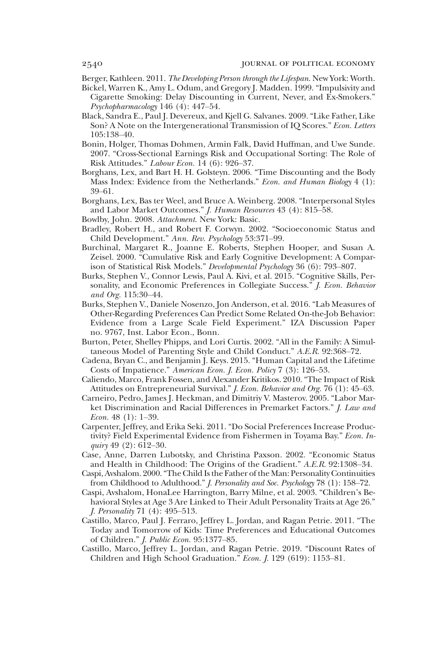- Berger, Kathleen. 2011. *The Developing Person through the Lifespan*. New York: Worth.
- Bickel, Warren K., Amy L. Odum, and Gregory J. Madden. 1999. "Impulsivity and Cigarette Smoking: Delay Discounting in Current, Never, and Ex-Smokers." *Psychopharmacology* 146 (4): 447–54.
- Black, Sandra E., Paul J. Devereux, and Kjell G. Salvanes. 2009. "Like Father, Like Son? A Note on the Intergenerational Transmission of IQ Scores." *Econ. Letters* 105:138–40.
- Bonin, Holger, Thomas Dohmen, Armin Falk, David Huffman, and Uwe Sunde. 2007. "Cross-Sectional Earnings Risk and Occupational Sorting: The Role of Risk Attitudes." *Labour Econ.* 14 (6): 926–37.
- Borghans, Lex, and Bart H. H. Golsteyn. 2006. "Time Discounting and the Body Mass Index: Evidence from the Netherlands." *Econ. and Human Biology* 4 (1): 39–61.
- Borghans, Lex, Bas ter Weel, and Bruce A. Weinberg. 2008. "Interpersonal Styles and Labor Market Outcomes." *J. Human Resources* 43 (4): 815–58.
- Bowlby, John. 2008. *Attachment*. New York: Basic.
- Bradley, Robert H., and Robert F. Corwyn. 2002. "Socioeconomic Status and Child Development." *Ann. Rev. Psychology* 53:371–99.
- Burchinal, Margaret R., Joanne E. Roberts, Stephen Hooper, and Susan A. Zeisel. 2000. "Cumulative Risk and Early Cognitive Development: A Comparison of Statistical Risk Models." *Developmental Psychology* 36 (6): 793–807.
- Burks, Stephen V., Connor Lewis, Paul A. Kivi, et al. 2015. "Cognitive Skills, Personality, and Economic Preferences in Collegiate Success." *J. Econ. Behavior and Org.* 115:30–44.
- Burks, Stephen V., Daniele Nosenzo, Jon Anderson, et al. 2016. "Lab Measures of Other-Regarding Preferences Can Predict Some Related On-the-Job Behavior: Evidence from a Large Scale Field Experiment." IZA Discussion Paper no. 9767, Inst. Labor Econ., Bonn.
- Burton, Peter, Shelley Phipps, and Lori Curtis. 2002. "All in the Family: A Simultaneous Model of Parenting Style and Child Conduct." *A.E.R.* 92:368–72.
- Cadena, Bryan C., and Benjamin J. Keys. 2015. "Human Capital and the Lifetime Costs of Impatience." *American Econ. J. Econ. Policy* 7 (3): 126–53.
- Caliendo, Marco, Frank Fossen, and Alexander Kritikos. 2010. "The Impact of Risk Attitudes on Entrepreneurial Survival." *J. Econ. Behavior and Org.* 76 (1): 45–63.
- Carneiro, Pedro, James J. Heckman, and Dimitriy V. Masterov. 2005. "Labor Market Discrimination and Racial Differences in Premarket Factors." *J. Law and Econ.* 48 (1): 1–39.
- Carpenter, Jeffrey, and Erika Seki. 2011. "Do Social Preferences Increase Productivity? Field Experimental Evidence from Fishermen in Toyama Bay." *Econ. Inquiry* 49 (2): 612–30.
- Case, Anne, Darren Lubotsky, and Christina Paxson. 2002. "Economic Status and Health in Childhood: The Origins of the Gradient." *A.E.R.* 92:1308–34.
- Caspi, Avshalom. 2000."The Child Is the Father of the Man: Personality Continuities from Childhood to Adulthood." *J. Personality and Soc. Psychology* 78 (1): 158–72.
- Caspi, Avshalom, HonaLee Harrington, Barry Milne, et al. 2003. "Children's Behavioral Styles at Age 3 Are Linked to Their Adult Personality Traits at Age 26." *J. Personality* 71 (4): 495–513.
- Castillo, Marco, Paul J. Ferraro, Jeffrey L. Jordan, and Ragan Petrie. 2011. "The Today and Tomorrow of Kids: Time Preferences and Educational Outcomes of Children." *J. Public Econ.* 95:1377–85.
- Castillo, Marco, Jeffrey L. Jordan, and Ragan Petrie. 2019. "Discount Rates of Children and High School Graduation." *Econ. J.* 129 (619): 1153–81.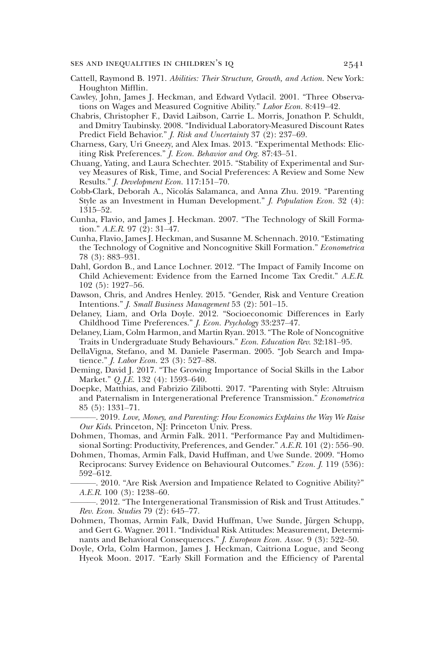- Cattell, Raymond B. 1971. *Abilities: Their Structure, Growth, and Action*. New York: Houghton Mifflin.
- Cawley, John, James J. Heckman, and Edward Vytlacil. 2001. "Three Observations on Wages and Measured Cognitive Ability." *Labor Econ.* 8:419–42.
- Chabris, Christopher F., David Laibson, Carrie L. Morris, Jonathon P. Schuldt, and Dmitry Taubinsky. 2008. "Individual Laboratory-Measured Discount Rates Predict Field Behavior." *J. Risk and Uncertainty* 37 (2): 237–69.
- Charness, Gary, Uri Gneezy, and Alex Imas. 2013. "Experimental Methods: Eliciting Risk Preferences." *J. Econ. Behavior and Org.* 87:43–51.
- Chuang, Yating, and Laura Schechter. 2015. "Stability of Experimental and Survey Measures of Risk, Time, and Social Preferences: A Review and Some New Results." *J. Development Econ.* 117:151–70.
- Cobb-Clark, Deborah A., Nicolás Salamanca, and Anna Zhu. 2019. "Parenting Style as an Investment in Human Development." *J. Population Econ.* 32 (4): 1315–52.
- Cunha, Flavio, and James J. Heckman. 2007. "The Technology of Skill Formation." *A.E.R.* 97 (2): 31–47.
- Cunha, Flavio, James J. Heckman, and Susanne M. Schennach. 2010. "Estimating the Technology of Cognitive and Noncognitive Skill Formation." *Econometrica* 78 (3): 883–931.
- Dahl, Gordon B., and Lance Lochner. 2012. "The Impact of Family Income on Child Achievement: Evidence from the Earned Income Tax Credit." *A.E.R.* 102 (5): 1927–56.
- Dawson, Chris, and Andres Henley. 2015. "Gender, Risk and Venture Creation Intentions." *J. Small Business Management* 53 (2): 501–15.
- Delaney, Liam, and Orla Doyle. 2012. "Socioeconomic Differences in Early Childhood Time Preferences." *J. Econ. Psychology* 33:237–47.
- Delaney, Liam, Colm Harmon, and Martin Ryan. 2013."The Role of Noncognitive Traits in Undergraduate Study Behaviours." *Econ. Education Rev.* 32:181–95.
- DellaVigna, Stefano, and M. Daniele Paserman. 2005. "Job Search and Impatience." *J. Labor Econ.* 23 (3): 527–88.
- Deming, David J. 2017. "The Growing Importance of Social Skills in the Labor Market." *Q. J.E.* 132 (4): 1593–640.
- Doepke, Matthias, and Fabrizio Zilibotti. 2017. "Parenting with Style: Altruism and Paternalism in Intergenerational Preference Transmission." *Econometrica* 85 (5): 1331–71.
	- ———. 2019. *Love, Money, and Parenting: How Economics Explains the Way We Raise Our Kids*. Princeton, NJ: Princeton Univ. Press.
- Dohmen, Thomas, and Armin Falk. 2011. "Performance Pay and Multidimensional Sorting: Productivity, Preferences, and Gender." *A.E.R.* 101 (2): 556–90.
- Dohmen, Thomas, Armin Falk, David Huffman, and Uwe Sunde. 2009. "Homo Reciprocans: Survey Evidence on Behavioural Outcomes." *Econ. J.* 119 (536): 592–612.
	- -. 2010. "Are Risk Aversion and Impatience Related to Cognitive Ability?" *A.E.R.* 100 (3): 1238–60.
- -. 2012. "The Intergenerational Transmission of Risk and Trust Attitudes." *Rev. Econ. Studies* 79 (2): 645–77.
- Dohmen, Thomas, Armin Falk, David Huffman, Uwe Sunde, Jürgen Schupp, and Gert G. Wagner. 2011. "Individual Risk Attitudes: Measurement, Determinants and Behavioral Consequences." *J. European Econ. Assoc.* 9 (3): 522–50.
- Doyle, Orla, Colm Harmon, James J. Heckman, Caitriona Logue, and Seong Hyeok Moon. 2017. "Early Skill Formation and the Efficiency of Parental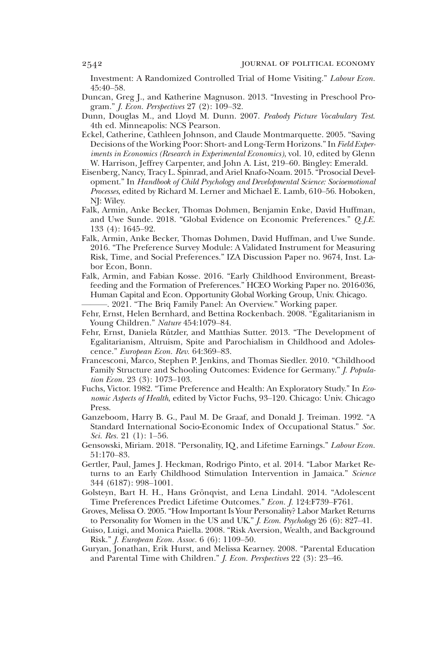Investment: A Randomized Controlled Trial of Home Visiting." *Labour Econ.* 45:40–58.

- Duncan, Greg J., and Katherine Magnuson. 2013. "Investing in Preschool Program." *J. Econ. Perspectives* 27 (2): 109–32.
- Dunn, Douglas M., and Lloyd M. Dunn. 2007. *Peabody Picture Vocabulary Test*. 4th ed. Minneapolis: NCS Pearson.
- Eckel, Catherine, Cathleen Johnson, and Claude Montmarquette. 2005. "Saving Decisions of the Working Poor: Short- and Long-Term Horizons."In *Field Experiments in Economics (Research in Experimental Economics)*, vol. 10, edited by Glenn W. Harrison, Jeffrey Carpenter, and John A. List, 219–60. Bingley: Emerald.
- Eisenberg, Nancy, Tracy L. Spinrad, and Ariel Knafo-Noam. 2015."Prosocial Development." In *Handbook of Child Psychology and Developmental Science: Socioemotional Processes*, edited by Richard M. Lerner and Michael E. Lamb, 610–56. Hoboken, NJ: Wiley.
- Falk, Armin, Anke Becker, Thomas Dohmen, Benjamin Enke, David Huffman, and Uwe Sunde. 2018. "Global Evidence on Economic Preferences." *Q. J.E.* 133 (4): 1645–92.
- Falk, Armin, Anke Becker, Thomas Dohmen, David Huffman, and Uwe Sunde. 2016. "The Preference Survey Module: A Validated Instrument for Measuring Risk, Time, and Social Preferences." IZA Discussion Paper no. 9674, Inst. Labor Econ, Bonn.
- Falk, Armin, and Fabian Kosse. 2016. "Early Childhood Environment, Breastfeeding and the Formation of Preferences." HCEO Working Paper no. 2016-036, Human Capital and Econ. Opportunity Global Working Group, Univ. Chicago. ———. 2021. "The Briq Family Panel: An Overview." Working paper.
- Fehr, Ernst, Helen Bernhard, and Bettina Rockenbach. 2008. "Egalitarianism in Young Children." *Nature* 454:1079–84.
- Fehr, Ernst, Daniela Rützler, and Matthias Sutter. 2013. "The Development of Egalitarianism, Altruism, Spite and Parochialism in Childhood and Adolescence." *European Econ. Rev.* 64:369–83.
- Francesconi, Marco, Stephen P. Jenkins, and Thomas Siedler. 2010. "Childhood Family Structure and Schooling Outcomes: Evidence for Germany." *J. Population Econ.* 23 (3): 1073–103.
- Fuchs, Victor. 1982. "Time Preference and Health: An Exploratory Study." In *Economic Aspects of Health*, edited by Victor Fuchs, 93–120. Chicago: Univ. Chicago Press.
- Ganzeboom, Harry B. G., Paul M. De Graaf, and Donald J. Treiman. 1992. "A Standard International Socio-Economic Index of Occupational Status." *Soc. Sci. Res.* 21 (1): 1–56.
- Gensowski, Miriam. 2018. "Personality, IQ, and Lifetime Earnings." *Labour Econ.* 51:170–83.
- Gertler, Paul, James J. Heckman, Rodrigo Pinto, et al. 2014. "Labor Market Returns to an Early Childhood Stimulation Intervention in Jamaica." *Science* 344 (6187): 998–1001.
- Golsteyn, Bart H. H., Hans Grönqvist, and Lena Lindahl. 2014. "Adolescent Time Preferences Predict Lifetime Outcomes." *Econ. J.* 124:F739–F761.
- Groves, Melissa O. 2005."How Important Is Your Personality? Labor Market Returns to Personality for Women in the US and UK." *J. Econ. Psychology* 26 (6): 827–41.
- Guiso, Luigi, and Monica Paiella. 2008. "Risk Aversion, Wealth, and Background Risk." *J. European Econ. Assoc.* 6 (6): 1109–50.
- Guryan, Jonathan, Erik Hurst, and Melissa Kearney. 2008. "Parental Education and Parental Time with Children." *J. Econ. Perspectives* 22 (3): 23–46.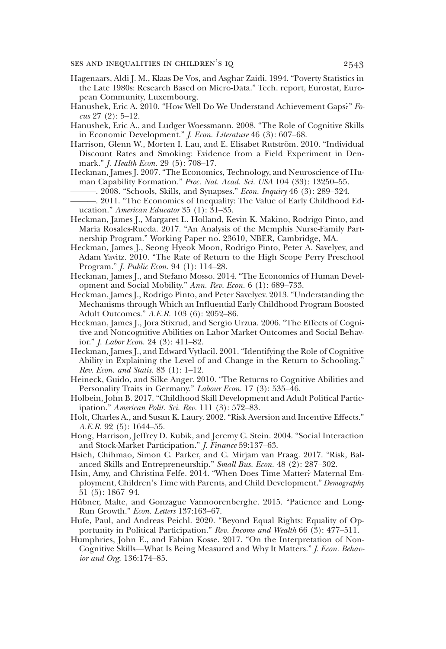- Hagenaars, Aldi J. M., Klaas De Vos, and Asghar Zaidi. 1994. "Poverty Statistics in the Late 1980s: Research Based on Micro-Data." Tech. report, Eurostat, European Community, Luxembourg.
- Hanushek, Eric A. 2010. "How Well Do We Understand Achievement Gaps?" *Focus* 27 (2): 5–12.
- Hanushek, Eric A., and Ludger Woessmann. 2008. "The Role of Cognitive Skills in Economic Development." *J. Econ. Literature* 46 (3): 607–68.
- Harrison, Glenn W., Morten I. Lau, and E. Elisabet Rutström. 2010. "Individual Discount Rates and Smoking: Evidence from a Field Experiment in Denmark." *J. Health Econ.* 29 (5): 708–17.
- Heckman, James J. 2007. "The Economics, Technology, and Neuroscience of Human Capability Formation." *Proc. Nat. Acad. Sci. USA* 104 (33): 13250–55.
	- ———. 2008. "Schools, Skills, and Synapses." *Econ. Inquiry* 46 (3): 289–324.
- ———. 2011. "The Economics of Inequality: The Value of Early Childhood Education." *American Educator* 35 (1): 31–35.
- Heckman, James J., Margaret L. Holland, Kevin K. Makino, Rodrigo Pinto, and Maria Rosales-Rueda. 2017. "An Analysis of the Memphis Nurse-Family Partnership Program." Working Paper no. 23610, NBER, Cambridge, MA.
- Heckman, James J., Seong Hyeok Moon, Rodrigo Pinto, Peter A. Savelyev, and Adam Yavitz. 2010. "The Rate of Return to the High Scope Perry Preschool Program." *J. Public Econ.* 94 (1): 114–28.
- Heckman, James J., and Stefano Mosso. 2014. "The Economics of Human Development and Social Mobility." *Ann. Rev. Econ.* 6 (1): 689–733.
- Heckman, James J., Rodrigo Pinto, and Peter Savelyev. 2013. "Understanding the Mechanisms through Which an Influential Early Childhood Program Boosted Adult Outcomes." *A.E.R.* 103 (6): 2052–86.
- Heckman, James J., Jora Stixrud, and Sergio Urzua. 2006. "The Effects of Cognitive and Noncognitive Abilities on Labor Market Outcomes and Social Behavior." *J. Labor Econ.* 24 (3): 411–82.
- Heckman, James J., and Edward Vytlacil. 2001. "Identifying the Role of Cognitive Ability in Explaining the Level of and Change in the Return to Schooling." *Rev. Econ. and Statis.* 83 (1): 1–12.
- Heineck, Guido, and Silke Anger. 2010. "The Returns to Cognitive Abilities and Personality Traits in Germany." *Labour Econ.* 17 (3): 535–46.
- Holbein, John B. 2017. "Childhood Skill Development and Adult Political Participation." *American Polit. Sci. Rev.* 111 (3): 572–83.
- Holt, Charles A., and Susan K. Laury. 2002. "Risk Aversion and Incentive Effects." *A.E.R.* 92 (5): 1644–55.
- Hong, Harrison, Jeffrey D. Kubik, and Jeremy C. Stein. 2004. "Social Interaction and Stock-Market Participation." *J. Finance* 59:137–63.
- Hsieh, Chihmao, Simon C. Parker, and C. Mirjam van Praag. 2017. "Risk, Balanced Skills and Entrepreneurship." *Small Bus. Econ.* 48 (2): 287–302.
- Hsin, Amy, and Christina Felfe. 2014. "When Does Time Matter? Maternal Employment, Children's Time with Parents, and Child Development." *Demography* 51 (5): 1867–94.
- Hübner, Malte, and Gonzague Vannoorenberghe. 2015. "Patience and Long-Run Growth." *Econ. Letters* 137:163–67.
- Hufe, Paul, and Andreas Peichl. 2020. "Beyond Equal Rights: Equality of Opportunity in Political Participation." *Rev. Income and Wealth* 66 (3): 477–511.
- Humphries, John E., and Fabian Kosse. 2017. "On the Interpretation of Non-Cognitive Skills—What Is Being Measured and Why It Matters." *J. Econ. Behavior and Org.* 136:174–85.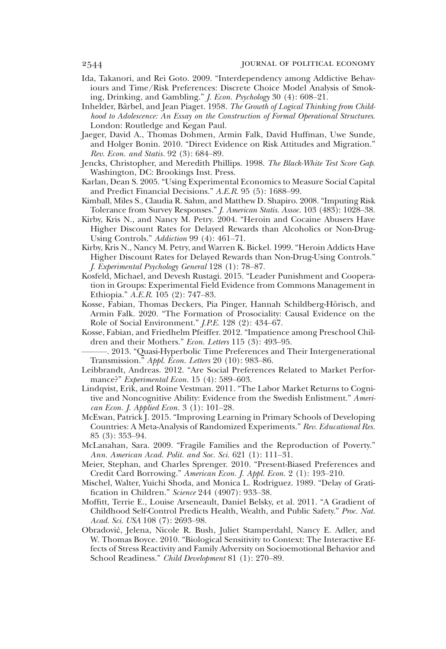- Ida, Takanori, and Rei Goto. 2009. "Interdependency among Addictive Behaviours and Time/Risk Preferences: Discrete Choice Model Analysis of Smoking, Drinking, and Gambling." *J. Econ. Psychology* 30 (4): 608–21.
- Inhelder, Bärbel, and Jean Piaget. 1958. *The Growth of Logical Thinking from Childhood to Adolescence: An Essay on the Construction of Formal Operational Structures*. London: Routledge and Kegan Paul.
- Jaeger, David A., Thomas Dohmen, Armin Falk, David Huffman, Uwe Sunde, and Holger Bonin. 2010. "Direct Evidence on Risk Attitudes and Migration." *Rev. Econ. and Statis.* 92 (3): 684–89.
- Jencks, Christopher, and Meredith Phillips. 1998. *The Black-White Test Score Gap*. Washington, DC: Brookings Inst. Press.
- Karlan, Dean S. 2005. "Using Experimental Economics to Measure Social Capital and Predict Financial Decisions." *A.E.R.* 95 (5): 1688–99.
- Kimball, Miles S., Claudia R. Sahm, and Matthew D. Shapiro. 2008. "Imputing Risk Tolerance from Survey Responses." *J. American Statis. Assoc.* 103 (483): 1028–38.
- Kirby, Kris N., and Nancy M. Petry. 2004. "Heroin and Cocaine Abusers Have Higher Discount Rates for Delayed Rewards than Alcoholics or Non-Drug-Using Controls." *Addiction* 99 (4): 461–71.
- Kirby, Kris N., Nancy M. Petry, and Warren K. Bickel. 1999. "Heroin Addicts Have Higher Discount Rates for Delayed Rewards than Non-Drug-Using Controls." *J. Experimental Psychology General* 128 (1): 78–87.
- Kosfeld, Michael, and Devesh Rustagi. 2015. "Leader Punishment and Cooperation in Groups: Experimental Field Evidence from Commons Management in Ethiopia." *A.E.R.* 105 (2): 747–83.
- Kosse, Fabian, Thomas Deckers, Pia Pinger, Hannah Schildberg-Hörisch, and Armin Falk. 2020. "The Formation of Prosociality: Causal Evidence on the Role of Social Environment." *J.P.E.* 128 (2): 434–67.
- Kosse, Fabian, and Friedhelm Pfeiffer. 2012. "Impatience among Preschool Children and their Mothers." *Econ. Letters* 115 (3): 493–95.
- -. 2013. "Quasi-Hyperbolic Time Preferences and Their Intergenerational Transmission." *Appl. Econ. Letters* 20 (10): 983–86.
- Leibbrandt, Andreas. 2012. "Are Social Preferences Related to Market Performance?" *Experimental Econ.* 15 (4): 589–603.
- Lindqvist, Erik, and Roine Vestman. 2011. "The Labor Market Returns to Cognitive and Noncognitive Ability: Evidence from the Swedish Enlistment." *American Econ. J. Applied Econ.* 3 (1): 101–28.
- McEwan, Patrick J. 2015. "Improving Learning in Primary Schools of Developing Countries: A Meta-Analysis of Randomized Experiments." *Rev. Educational Res.* 85 (3): 353–94.
- McLanahan, Sara. 2009. "Fragile Families and the Reproduction of Poverty." *Ann. American Acad. Polit. and Soc. Sci.* 621 (1): 111–31.
- Meier, Stephan, and Charles Sprenger. 2010. "Present-Biased Preferences and Credit Card Borrowing." *American Econ. J. Appl. Econ.* 2 (1): 193–210.
- Mischel, Walter, Yuichi Shoda, and Monica L. Rodriguez. 1989. "Delay of Gratification in Children." *Science* 244 (4907): 933–38.
- Moffitt, Terrie E., Louise Arseneault, Daniel Belsky, et al. 2011. "A Gradient of Childhood Self-Control Predicts Health, Wealth, and Public Safety." *Proc. Nat. Acad. Sci. USA* 108 (7): 2693–98.
- Obradović, Jelena, Nicole R. Bush, Juliet Stamperdahl, Nancy E. Adler, and W. Thomas Boyce. 2010. "Biological Sensitivity to Context: The Interactive Effects of Stress Reactivity and Family Adversity on Socioemotional Behavior and School Readiness." *Child Development* 81 (1): 270–89.